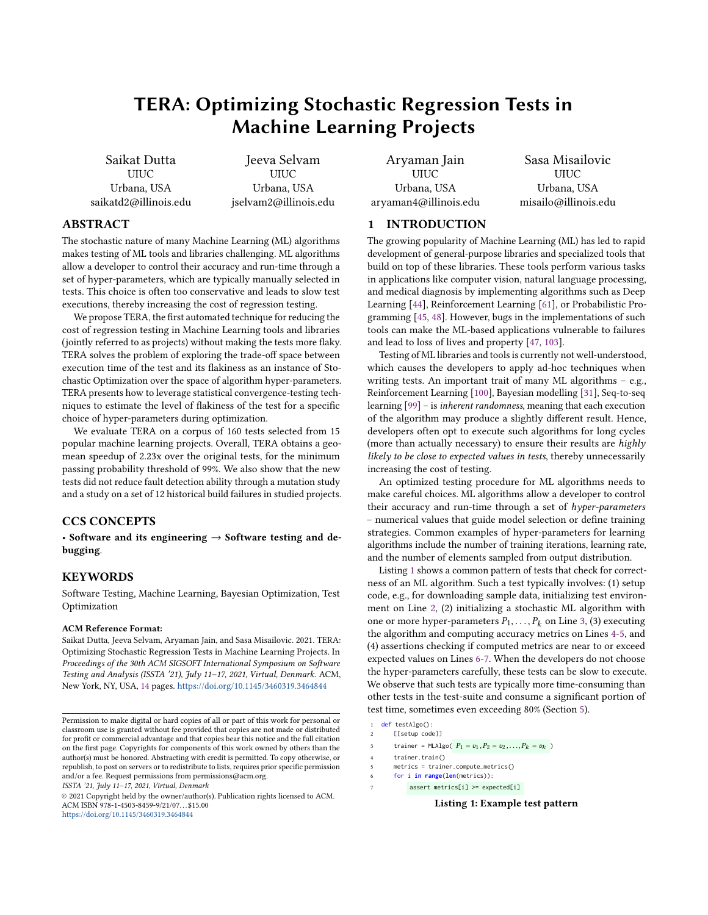# TERA: Optimizing Stochastic Regression Tests in Machine Learning Projects

Saikat Dutta UIUC Urbana, USA saikatd2@illinois.edu

Jeeva Selvam UIUC Urbana, USA jselvam2@illinois.edu

Aryaman Jain UIUC Urbana, USA aryaman4@illinois.edu

Sasa Misailovic UIUC Urbana, USA misailo@illinois.edu

#### ABSTRACT

The stochastic nature of many Machine Learning (ML) algorithms makes testing of ML tools and libraries challenging. ML algorithms allow a developer to control their accuracy and run-time through a set of hyper-parameters, which are typically manually selected in tests. This choice is often too conservative and leads to slow test executions, thereby increasing the cost of regression testing.

We propose TERA, the first automated technique for reducing the cost of regression testing in Machine Learning tools and libraries (jointly referred to as projects) without making the tests more flaky. TERA solves the problem of exploring the trade-off space between execution time of the test and its flakiness as an instance of Stochastic Optimization over the space of algorithm hyper-parameters. TERA presents how to leverage statistical convergence-testing techniques to estimate the level of flakiness of the test for a specific choice of hyper-parameters during optimization.

We evaluate TERA on a corpus of 160 tests selected from 15 popular machine learning projects. Overall, TERA obtains a geomean speedup of 2.23x over the original tests, for the minimum passing probability threshold of 99%. We also show that the new tests did not reduce fault detection ability through a mutation study and a study on a set of 12 historical build failures in studied projects.

#### CCS CONCEPTS

• Software and its engineering  $\rightarrow$  Software testing and debugging.

### **KEYWORDS**

Software Testing, Machine Learning, Bayesian Optimization, Test Optimization

#### ACM Reference Format:

Saikat Dutta, Jeeva Selvam, Aryaman Jain, and Sasa Misailovic. 2021. TERA: Optimizing Stochastic Regression Tests in Machine Learning Projects. In Proceedings of the 30th ACM SIGSOFT International Symposium on Software Testing and Analysis (ISSTA '21), July 11–17, 2021, Virtual, Denmark. ACM, New York, NY, USA, [14](#page-13-0) pages. <https://doi.org/10.1145/3460319.3464844>

ISSTA '21, July 11–17, 2021, Virtual, Denmark

© 2021 Copyright held by the owner/author(s). Publication rights licensed to ACM. ACM ISBN 978-1-4503-8459-9/21/07. . . \$15.00 <https://doi.org/10.1145/3460319.3464844>

## 1 INTRODUCTION

The growing popularity of Machine Learning (ML) has led to rapid development of general-purpose libraries and specialized tools that build on top of these libraries. These tools perform various tasks in applications like computer vision, natural language processing, and medical diagnosis by implementing algorithms such as Deep Learning [\[44\]](#page-12-0), Reinforcement Learning [\[61\]](#page-12-1), or Probabilistic Programming [\[45,](#page-12-2) [48\]](#page-12-3). However, bugs in the implementations of such tools can make the ML-based applications vulnerable to failures and lead to loss of lives and property [\[47,](#page-12-4) [103\]](#page-13-1).

Testing of ML libraries and tools is currently not well-understood, which causes the developers to apply ad-hoc techniques when writing tests. An important trait of many ML algorithms – e.g., Reinforcement Learning [\[100\]](#page-13-2), Bayesian modelling [\[31\]](#page-12-5), Seq-to-seq learning [\[99\]](#page-13-3) – is inherent randomness, meaning that each execution of the algorithm may produce a slightly different result. Hence, developers often opt to execute such algorithms for long cycles (more than actually necessary) to ensure their results are highly likely to be close to expected values in tests, thereby unnecessarily increasing the cost of testing.

An optimized testing procedure for ML algorithms needs to make careful choices. ML algorithms allow a developer to control their accuracy and run-time through a set of hyper-parameters – numerical values that guide model selection or define training strategies. Common examples of hyper-parameters for learning algorithms include the number of training iterations, learning rate, and the number of elements sampled from output distribution.

Listing [1](#page-0-0) shows a common pattern of tests that check for correctness of an ML algorithm. Such a test typically involves: (1) setup code, e.g., for downloading sample data, initializing test environment on Line [2,](#page-0-1) (2) initializing a stochastic ML algorithm with one or more hyper-parameters  $P_1, \ldots, P_k$  on Line [3,](#page-0-2) (3) executing the algorithm and computing accuracy metrics on Lines [4-](#page-0-3)[5,](#page-0-4) and (4) assertions checking if computed metrics are near to or exceed expected values on Lines [6-](#page-0-5)[7.](#page-0-6) When the developers do not choose the hyper-parameters carefully, these tests can be slow to execute. We observe that such tests are typically more time-consuming than other tests in the test-suite and consume a significant portion of test time, sometimes even exceeding 80% (Section [5\)](#page-6-0).

<span id="page-0-5"></span>6 for i **in range**(**len**(metrics)):

Listing 1: Example test pattern

Permission to make digital or hard copies of all or part of this work for personal or classroom use is granted without fee provided that copies are not made or distributed for profit or commercial advantage and that copies bear this notice and the full citation on the first page. Copyrights for components of this work owned by others than the author(s) must be honored. Abstracting with credit is permitted. To copy otherwise, or republish, to post on servers or to redistribute to lists, requires prior specific permission and/or a fee. Request permissions from permissions@acm.org.

<span id="page-0-1"></span><span id="page-0-0"></span><sup>1</sup> def testAlgo(): 2 [[setup code]]

<span id="page-0-2"></span><sup>3</sup> trainer = MLAlgo(  $P_1 = v_1, P_2 = v_2, ..., P_k = v_k$ )

<span id="page-0-3"></span><sup>4</sup> trainer.train()

<span id="page-0-4"></span><sup>5</sup> metrics = trainer.compute\_metrics()

<span id="page-0-6"></span><sup>7</sup> assert metrics[i] >= expected[i]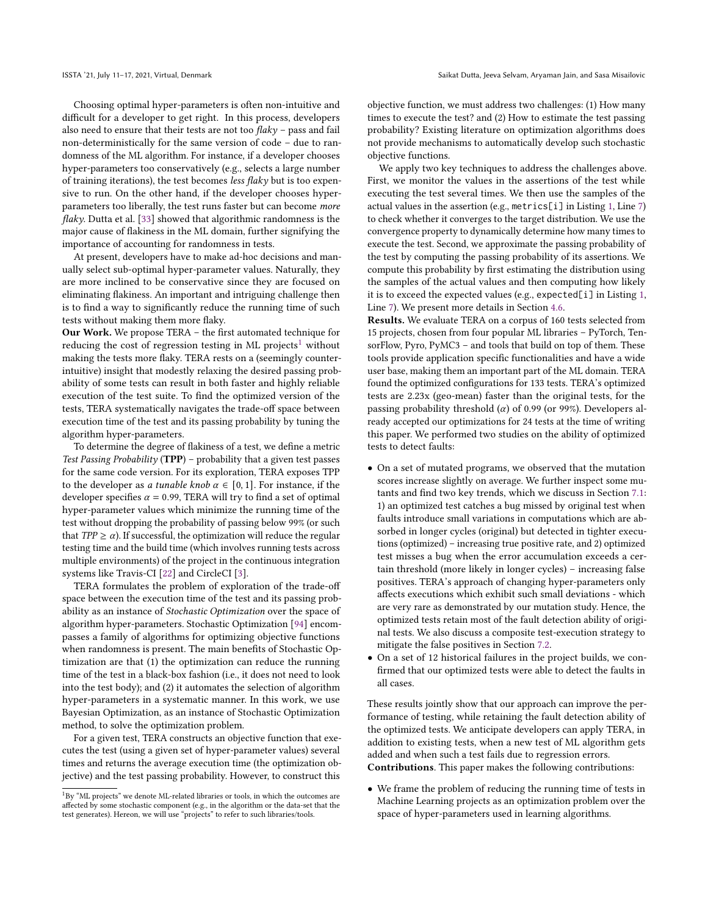Choosing optimal hyper-parameters is often non-intuitive and difficult for a developer to get right. In this process, developers also need to ensure that their tests are not too  $flaky$  – pass and fail non-deterministically for the same version of code – due to randomness of the ML algorithm. For instance, if a developer chooses hyper-parameters too conservatively (e.g., selects a large number of training iterations), the test becomes less flaky but is too expensive to run. On the other hand, if the developer chooses hyperparameters too liberally, the test runs faster but can become more flaky. Dutta et al. [\[33\]](#page-12-6) showed that algorithmic randomness is the major cause of flakiness in the ML domain, further signifying the importance of accounting for randomness in tests.

At present, developers have to make ad-hoc decisions and manually select sub-optimal hyper-parameter values. Naturally, they are more inclined to be conservative since they are focused on eliminating flakiness. An important and intriguing challenge then is to find a way to significantly reduce the running time of such tests without making them more flaky.

Our Work. We propose TERA – the first automated technique for reducing the cost of regression testing in ML projects<sup>[1](#page-1-0)</sup> without making the tests more flaky. TERA rests on a (seemingly counterintuitive) insight that modestly relaxing the desired passing probability of some tests can result in both faster and highly reliable execution of the test suite. To find the optimized version of the tests, TERA systematically navigates the trade-off space between execution time of the test and its passing probability by tuning the algorithm hyper-parameters.

To determine the degree of flakiness of a test, we define a metric Test Passing Probability ( $TPP$ ) – probability that a given test passes for the same code version. For its exploration, TERA exposes TPP to the developer as *a tunable knob*  $\alpha \in [0, 1]$ . For instance, if the developer specifies  $\alpha$  = 0.99, TERA will try to find a set of optimal hyper-parameter values which minimize the running time of the test without dropping the probability of passing below 99% (or such that  $TPP \geq \alpha$ ). If successful, the optimization will reduce the regular testing time and the build time (which involves running tests across multiple environments) of the project in the continuous integration systems like Travis-CI [\[22\]](#page-12-7) and CircleCI [\[3\]](#page-12-8).

TERA formulates the problem of exploration of the trade-off space between the execution time of the test and its passing probability as an instance of Stochastic Optimization over the space of algorithm hyper-parameters. Stochastic Optimization [\[94\]](#page-13-4) encompasses a family of algorithms for optimizing objective functions when randomness is present. The main benefits of Stochastic Optimization are that (1) the optimization can reduce the running time of the test in a black-box fashion (i.e., it does not need to look into the test body); and (2) it automates the selection of algorithm hyper-parameters in a systematic manner. In this work, we use Bayesian Optimization, as an instance of Stochastic Optimization method, to solve the optimization problem.

For a given test, TERA constructs an objective function that executes the test (using a given set of hyper-parameter values) several times and returns the average execution time (the optimization objective) and the test passing probability. However, to construct this objective function, we must address two challenges: (1) How many times to execute the test? and (2) How to estimate the test passing probability? Existing literature on optimization algorithms does not provide mechanisms to automatically develop such stochastic objective functions.

We apply two key techniques to address the challenges above. First, we monitor the values in the assertions of the test while executing the test several times. We then use the samples of the actual values in the assertion (e.g., metrics[i] in Listing [1,](#page-0-0) Line [7\)](#page-0-6) to check whether it converges to the target distribution. We use the convergence property to dynamically determine how many times to execute the test. Second, we approximate the passing probability of the test by computing the passing probability of its assertions. We compute this probability by first estimating the distribution using the samples of the actual values and then computing how likely it is to exceed the expected values (e.g., expected[i] in Listing [1,](#page-0-0) Line [7\)](#page-0-6). We present more details in Section [4.6.](#page-5-0)

Results. We evaluate TERA on a corpus of 160 tests selected from 15 projects, chosen from four popular ML libraries – PyTorch, TensorFlow, Pyro, PyMC3 – and tools that build on top of them. These tools provide application specific functionalities and have a wide user base, making them an important part of the ML domain. TERA found the optimized configurations for 133 tests. TERA's optimized tests are 2.23x (geo-mean) faster than the original tests, for the passing probability threshold ( $\alpha$ ) of 0.99 (or 99%). Developers already accepted our optimizations for 24 tests at the time of writing this paper. We performed two studies on the ability of optimized tests to detect faults:

- On a set of mutated programs, we observed that the mutation scores increase slightly on average. We further inspect some mutants and find two key trends, which we discuss in Section [7.1:](#page-9-0) 1) an optimized test catches a bug missed by original test when faults introduce small variations in computations which are absorbed in longer cycles (original) but detected in tighter executions (optimized) – increasing true positive rate, and 2) optimized test misses a bug when the error accumulation exceeds a certain threshold (more likely in longer cycles) – increasing false positives. TERA's approach of changing hyper-parameters only affects executions which exhibit such small deviations - which are very rare as demonstrated by our mutation study. Hence, the optimized tests retain most of the fault detection ability of original tests. We also discuss a composite test-execution strategy to mitigate the false positives in Section [7.2.](#page-9-1)
- On a set of 12 historical failures in the project builds, we confirmed that our optimized tests were able to detect the faults in all cases.

These results jointly show that our approach can improve the performance of testing, while retaining the fault detection ability of the optimized tests. We anticipate developers can apply TERA, in addition to existing tests, when a new test of ML algorithm gets added and when such a test fails due to regression errors.

Contributions. This paper makes the following contributions:

• We frame the problem of reducing the running time of tests in Machine Learning projects as an optimization problem over the space of hyper-parameters used in learning algorithms.

<span id="page-1-0"></span><sup>&</sup>lt;sup>1</sup>By "ML projects" we denote ML-related libraries or tools, in which the outcomes are affected by some stochastic component (e.g., in the algorithm or the data-set that the test generates). Hereon, we will use "projects" to refer to such libraries/tools.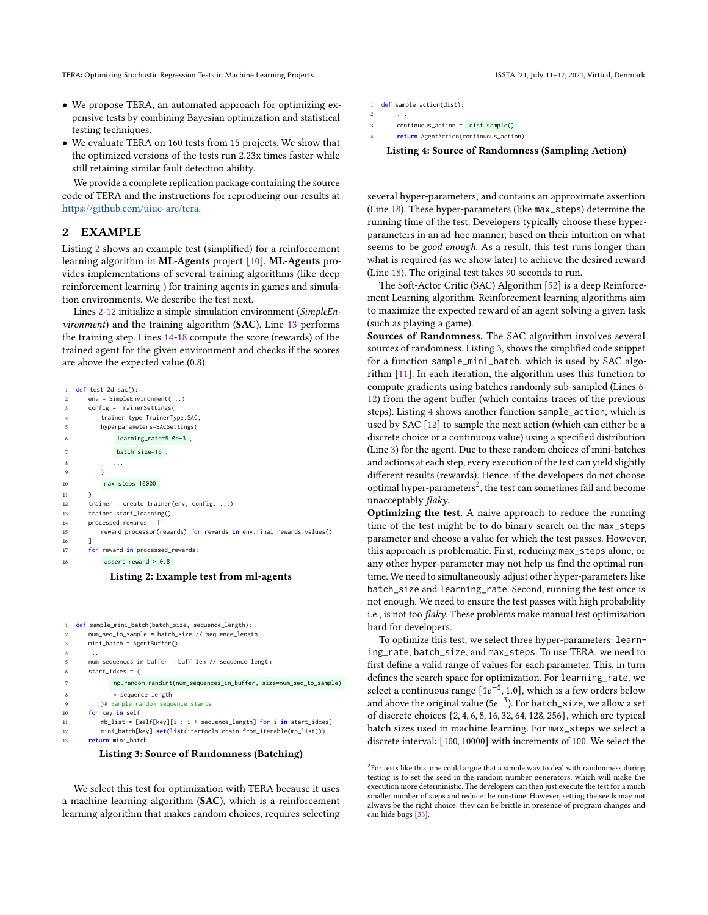- We propose TERA, an automated approach for optimizing expensive tests by combining Bayesian optimization and statistical testing techniques.
- We evaluate TERA on 160 tests from 15 projects. We show that the optimized versions of the tests run 2.23x times faster while still retaining similar fault detection ability.

We provide a complete replication package containing the source code of TERA and the instructions for reproducing our results at [https://github.com/uiuc-arc/tera.](https://github.com/uiuc-arc/tera)

#### <span id="page-2-12"></span>2 EXAMPLE

Listing [2](#page-2-0) shows an example test (simplified) for a reinforcement learning algorithm in ML-Agents project [\[10\]](#page-12-9). ML-Agents provides implementations of several training algorithms (like deep reinforcement learning ) for training agents in games and simulation environments. We describe the test next.

Lines [2](#page-2-1)[-12](#page-2-2) initialize a simple simulation environment (SimpleEnvironment) and the training algorithm (SAC). Line [13](#page-2-3) performs the training step. Lines [14](#page-2-4)[-18](#page-2-5) compute the score (rewards) of the trained agent for the given environment and checks if the scores are above the expected value (0.8).

<span id="page-2-2"></span><span id="page-2-1"></span><span id="page-2-0"></span>

Listing 2: Example test from ml-agents

```
def sample_mini_batch(batch_size, sequence_length):
2 num_seq_to_sample = batch_size // sequence_length
      mini_batch = AgentBuffer()
 4 ...
5 num_sequences_in_buffer = buff_len // sequence_length
6 start_idxes = (7 np.random.randint(num_sequences_in_buffer, size=num_seq_to_sample)
8 * sequence_length
         )# Sample random sequence starts
10 for key in self:
11 mb_list = [self[key][i : i + sequence_length] for i in start_idxes]
12 mini_batch[key].set(list(itertools.chain.from_iterable(mb_list)))
13 return mini_batch
```
<span id="page-2-8"></span>

We select this test for optimization with TERA because it uses a machine learning algorithm (SAC), which is a reinforcement learning algorithm that makes random choices, requires selecting

```
1 def sample_action(dist):
```

```
2 ...
```

```
3 continuous_action = dist.sample()
```

```
4 return AgentAction(continuous_action)
```
Listing 4: Source of Randomness (Sampling Action)

several hyper-parameters, and contains an approximate assertion (Line [18\)](#page-2-5). These hyper-parameters (like max\_steps) determine the running time of the test. Developers typically choose these hyperparameters in an ad-hoc manner, based on their intuition on what seems to be good enough. As a result, this test runs longer than what is required (as we show later) to achieve the desired reward (Line [18\)](#page-2-5). The original test takes 90 seconds to run.

The Soft-Actor Critic (SAC) Algorithm [\[52\]](#page-12-10) is a deep Reinforcement Learning algorithm. Reinforcement learning algorithms aim to maximize the expected reward of an agent solving a given task (such as playing a game).

Sources of Randomness. The SAC algorithm involves several sources of randomness. Listing [3,](#page-2-6) shows the simplified code snippet for a function sample\_mini\_batch, which is used by SAC algorithm [\[11\]](#page-12-11). In each iteration, the algorithm uses this function to compute gradients using batches randomly sub-sampled (Lines [6-](#page-2-7) [12\)](#page-2-8) from the agent buffer (which contains traces of the previous steps). Listing [4](#page-2-9) shows another function sample\_action, which is used by SAC [\[12\]](#page-12-12) to sample the next action (which can either be a discrete choice or a continuous value) using a specified distribution (Line [3\)](#page-2-10) for the agent. Due to these random choices of mini-batches and actions at each step, every execution of the test can yield slightly different results (rewards). Hence, if the developers do not choose optimal hyper-parameters<sup>[2](#page-2-11)</sup>, the test can sometimes fail and become unacceptably flaky.

Optimizing the test. A naive approach to reduce the running time of the test might be to do binary search on the max\_steps parameter and choose a value for which the test passes. However, this approach is problematic. First, reducing max\_steps alone, or any other hyper-parameter may not help us find the optimal runtime. We need to simultaneously adjust other hyper-parameters like batch\_size and learning\_rate. Second, running the test once is not enough. We need to ensure the test passes with high probability i.e., is not too flaky. These problems make manual test optimization hard for developers.

To optimize this test, we select three hyper-parameters: learning\_rate, batch\_size, and max\_steps. To use TERA, we need to first define a valid range of values for each parameter. This, in turn defines the search space for optimization. For learning\_rate, we select a continuous range  $[1e^{-5}, 1.0]$ , which is a few orders below and above the original value  $(5e^{-3})$ . For batch\_size, we allow a set of discrete choices {2, 4, 6, 8, 16, 32, 64, 128, 256}, which are typical batch sizes used in machine learning. For max\_steps we select a discrete interval: [100, 10000] with increments of 100. We select the

<span id="page-2-11"></span> $^{2}$ For tests like this, one could argue that a simple way to deal with randomness during testing is to set the seed in the random number generators, which will make the execution more deterministic. The developers can then just execute the test for a much smaller number of steps and reduce the run-time. However, setting the seeds may not always be the right choice: they can be brittle in presence of program changes and can hide bugs [\[33\]](#page-12-6).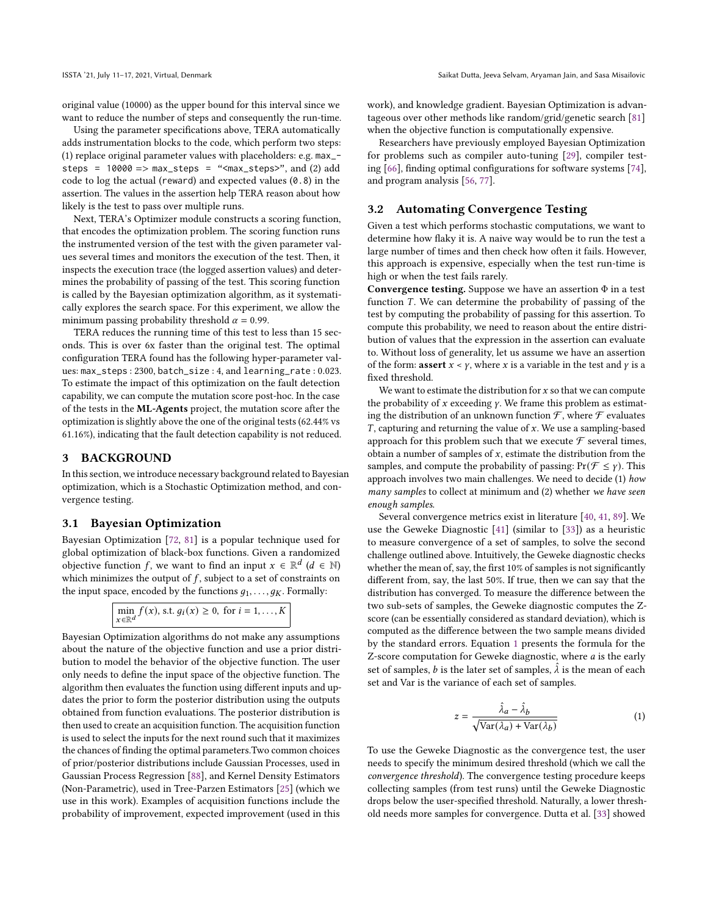original value (10000) as the upper bound for this interval since we want to reduce the number of steps and consequently the run-time.

Using the parameter specifications above, TERA automatically adds instrumentation blocks to the code, which perform two steps: (1) replace original parameter values with placeholders: e.g. max\_ steps =  $10000 \Rightarrow$  max\_steps = "<max\_steps>", and (2) add code to log the actual (reward) and expected values (0.8) in the assertion. The values in the assertion help TERA reason about how likely is the test to pass over multiple runs.

Next, TERA's Optimizer module constructs a scoring function, that encodes the optimization problem. The scoring function runs the instrumented version of the test with the given parameter values several times and monitors the execution of the test. Then, it inspects the execution trace (the logged assertion values) and determines the probability of passing of the test. This scoring function is called by the Bayesian optimization algorithm, as it systematically explores the search space. For this experiment, we allow the minimum passing probability threshold  $\alpha = 0.99$ .

TERA reduces the running time of this test to less than 15 seconds. This is over 6x faster than the original test. The optimal configuration TERA found has the following hyper-parameter values: max\_steps : 2300, batch\_size : 4, and learning\_rate : 0.023. To estimate the impact of this optimization on the fault detection capability, we can compute the mutation score post-hoc. In the case of the tests in the ML-Agents project, the mutation score after the optimization is slightly above the one of the original tests (62.44% vs 61.16%), indicating that the fault detection capability is not reduced.

#### 3 BACKGROUND

In this section, we introduce necessary background related to Bayesian optimization, which is a Stochastic Optimization method, and convergence testing.

#### 3.1 Bayesian Optimization

Bayesian Optimization [\[72,](#page-12-13) [81\]](#page-13-5) is a popular technique used for global optimization of black-box functions. Given a randomized objective function f, we want to find an input  $x \in \mathbb{R}^d$  ( $d \in \mathbb{N}$ ) which minimizes the output of  $f$ , subject to a set of constraints on the input space, encoded by the functions  $q_1, \ldots, q_K$ . Formally:

Bayesian Optimization algorithms do not make any assumptions about the nature of the objective function and use a prior distribution to model the behavior of the objective function. The user only needs to define the input space of the objective function. The algorithm then evaluates the function using different inputs and updates the prior to form the posterior distribution using the outputs obtained from function evaluations. The posterior distribution is then used to create an acquisition function. The acquisition function is used to select the inputs for the next round such that it maximizes the chances of finding the optimal parameters.Two common choices of prior/posterior distributions include Gaussian Processes, used in Gaussian Process Regression [\[88\]](#page-13-6), and Kernel Density Estimators (Non-Parametric), used in Tree-Parzen Estimators [\[25\]](#page-12-14) (which we use in this work). Examples of acquisition functions include the probability of improvement, expected improvement (used in this

work), and knowledge gradient. Bayesian Optimization is advantageous over other methods like random/grid/genetic search [\[81\]](#page-13-5) when the objective function is computationally expensive.

Researchers have previously employed Bayesian Optimization for problems such as compiler auto-tuning [\[29\]](#page-12-15), compiler testing [\[66\]](#page-12-16), finding optimal configurations for software systems [\[74\]](#page-12-17), and program analysis [\[56,](#page-12-18) [77\]](#page-13-7).

#### <span id="page-3-1"></span>3.2 Automating Convergence Testing

Given a test which performs stochastic computations, we want to determine how flaky it is. A naive way would be to run the test a large number of times and then check how often it fails. However, this approach is expensive, especially when the test run-time is high or when the test fails rarely.

Convergence testing. Suppose we have an assertion  $\Phi$  in a test function  $T$ . We can determine the probability of passing of the test by computing the probability of passing for this assertion. To compute this probability, we need to reason about the entire distribution of values that the expression in the assertion can evaluate to. Without loss of generality, let us assume we have an assertion of the form: **assert**  $x < y$ , where x is a variable in the test and y is a fixed threshold.

We want to estimate the distribution for  $x$  so that we can compute the probability of  $x$  exceeding  $\gamma$ . We frame this problem as estimating the distribution of an unknown function  ${\mathcal F},$  where  ${\mathcal F}$  evaluates  $T$ , capturing and returning the value of  $x$ . We use a sampling-based approach for this problem such that we execute  $\mathcal F$  several times, obtain a number of samples of  $x$ , estimate the distribution from the samples, and compute the probability of passing:  $Pr(\mathcal{F} \leq \gamma)$ . This approach involves two main challenges. We need to decide (1) how many samples to collect at minimum and (2) whether we have seen enough samples.

Several convergence metrics exist in literature [\[40,](#page-12-19) [41,](#page-12-20) [89\]](#page-13-8). We use the Geweke Diagnostic [\[41\]](#page-12-20) (similar to [\[33\]](#page-12-6)) as a heuristic to measure convergence of a set of samples, to solve the second challenge outlined above. Intuitively, the Geweke diagnostic checks whether the mean of, say, the first 10% of samples is not significantly different from, say, the last 50%. If true, then we can say that the distribution has converged. To measure the difference between the two sub-sets of samples, the Geweke diagnostic computes the Zscore (can be essentially considered as standard deviation), which is computed as the difference between the two sample means divided by the standard errors. Equation [1](#page-3-0) presents the formula for the Z-score computation for Geweke diagnostic, where  $a$  is the early set of samples, *b* is the later set of samples,  $\hat{\lambda}$  is the mean of each set and Var is the variance of each set of samples.

<span id="page-3-0"></span>
$$
z = \frac{\hat{\lambda}_a - \hat{\lambda}_b}{\sqrt{\text{Var}(\lambda_a) + \text{Var}(\lambda_b)}}
$$
(1)

To use the Geweke Diagnostic as the convergence test, the user needs to specify the minimum desired threshold (which we call the convergence threshold). The convergence testing procedure keeps collecting samples (from test runs) until the Geweke Diagnostic drops below the user-specified threshold. Naturally, a lower threshold needs more samples for convergence. Dutta et al. [\[33\]](#page-12-6) showed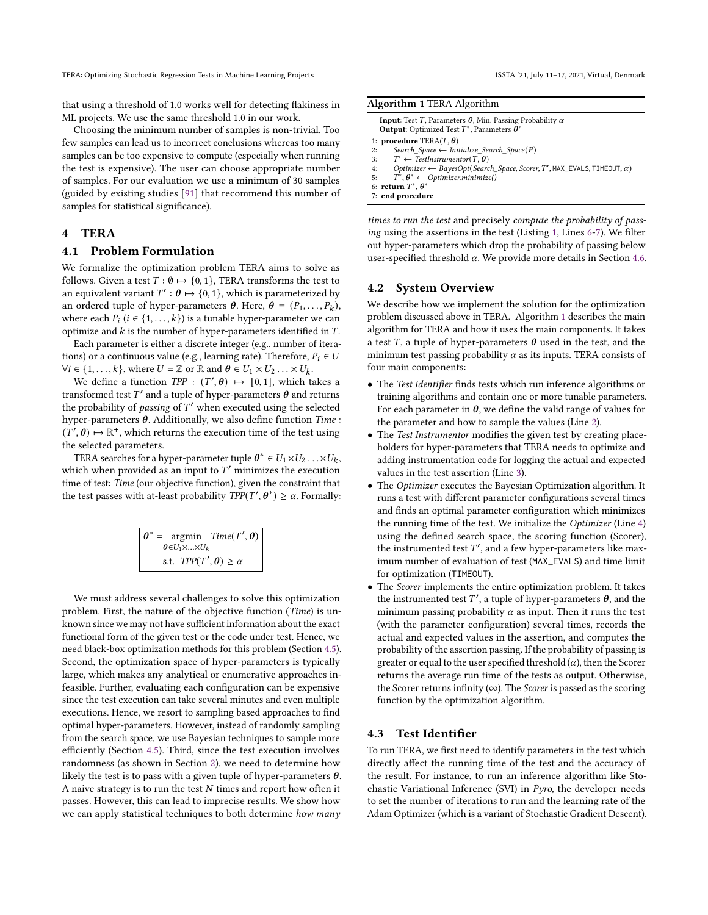TERA: Optimizing Stochastic Regression Tests in Machine Learning Projects

that using a threshold of 1.0 works well for detecting flakiness in ML projects. We use the same threshold 1.0 in our work.

Choosing the minimum number of samples is non-trivial. Too few samples can lead us to incorrect conclusions whereas too many samples can be too expensive to compute (especially when running the test is expensive). The user can choose appropriate number of samples. For our evaluation we use a minimum of 30 samples (guided by existing studies [\[91\]](#page-13-9) that recommend this number of samples for statistical significance).

#### 4 TERA

#### 4.1 Problem Formulation

We formalize the optimization problem TERA aims to solve as follows. Given a test  $T : \emptyset \mapsto \{0, 1\}$ , TERA transforms the test to an equivalent variant  $T': \theta \mapsto \{0, 1\}$ , which is parameterized by an ordered tuple of hyper-parameters  $\theta$ . Here,  $\hat{\theta} = (P_1, \ldots, P_k)$ , where each  $P_i$   $(i \in \{1, ..., k\})$  is a tunable hyper-parameter we can optimize and  $k$  is the number of hyper-parameters identified in  $T$ .

Each parameter is either a discrete integer (e.g., number of iterations) or a continuous value (e.g., learning rate). Therefore,  $P_i \in U$  $\forall i \in \{1, ..., k\}$ , where  $U = \mathbb{Z}$  or  $\mathbb{R}$  and  $\theta \in U_1 \times U_2 \dots \times U_k$ .

We define a function  $TPP : (T', \theta) \mapsto [0, 1]$ , which takes a transformed test  $T'$  and a tuple of hyper-parameters  $\boldsymbol{\theta}$  and returns the probability of passing of  $T'$  when executed using the selected hyper-parameters  $\theta$ . Additionally, we also define function Time :  $(T', \theta) \mapsto \mathbb{R}^+$ , which returns the execution time of the test using the selected parameters.

TERA searches for a hyper-parameter tuple  $\boldsymbol{\theta}^* \in U_1 \times U_2 \ldots \times U_k$ , which when provided as an input to  $T'$  minimizes the execution time of test: Time (our objective function), given the constraint that the test passes with at-least probability  $TPP(T', \theta^*) \ge \alpha$ . Formally:

|                                     | $\theta^* = \text{argmin}$ $Time(T', \theta)$ |
|-------------------------------------|-----------------------------------------------|
| $\theta \in U_1 \times  \times U_k$ |                                               |
| s.t. $TPP(T', \theta) \ge \alpha$   |                                               |

We must address several challenges to solve this optimization problem. First, the nature of the objective function (Time) is unknown since we may not have sufficient information about the exact functional form of the given test or the code under test. Hence, we need black-box optimization methods for this problem (Section [4.5\)](#page-5-1). Second, the optimization space of hyper-parameters is typically large, which makes any analytical or enumerative approaches infeasible. Further, evaluating each configuration can be expensive since the test execution can take several minutes and even multiple executions. Hence, we resort to sampling based approaches to find optimal hyper-parameters. However, instead of randomly sampling from the search space, we use Bayesian techniques to sample more efficiently (Section [4.5\)](#page-5-1). Third, since the test execution involves randomness (as shown in Section [2\)](#page-2-12), we need to determine how likely the test is to pass with a given tuple of hyper-parameters  $\theta$ . A naive strategy is to run the test  $N$  times and report how often it passes. However, this can lead to imprecise results. We show how we can apply statistical techniques to both determine how many

|  |  | ISSTA '21, July 11-17, 2021, Virtual, Denmark |  |
|--|--|-----------------------------------------------|--|
|--|--|-----------------------------------------------|--|

<span id="page-4-0"></span>

| Algorithm 1 TERA Algorithm |  |  |
|----------------------------|--|--|
|                            |  |  |

<span id="page-4-3"></span><span id="page-4-2"></span><span id="page-4-1"></span>

| <b>Input:</b> Test T, Parameters $\theta$ , Min. Passing Probability $\alpha$<br><b>Output</b> : Optimized Test $T^*$ , Parameters $\theta^*$ |
|-----------------------------------------------------------------------------------------------------------------------------------------------|
| 1: <b>procedure</b> TERA $(T, \theta)$                                                                                                        |
| Search Space $\leftarrow$ Initialize Search Space(P)<br>2:                                                                                    |
| $T' \leftarrow \text{TestInstrumentor}(T, \theta)$<br>3:                                                                                      |
| $Optimizer \leftarrow BayesOpt(Search_Space, Score, T', MAX_EVALS, TIMEOUT, \alpha)$<br>4:                                                    |
| $T^*, \theta^* \leftarrow \text{Optimizer}$ .minimize()<br>5:                                                                                 |
| 6: return $T^*$ , $\theta^*$                                                                                                                  |
| 7: end procedure                                                                                                                              |

<span id="page-4-5"></span><span id="page-4-4"></span>times to run the test and precisely compute the probability of passing using the assertions in the test (Listing [1,](#page-0-0) Lines [6](#page-0-5)[-7\)](#page-0-6). We filter out hyper-parameters which drop the probability of passing below user-specified threshold  $\alpha$ . We provide more details in Section [4.6.](#page-5-0)

#### <span id="page-4-7"></span>4.2 System Overview

We describe how we implement the solution for the optimization problem discussed above in TERA. Algorithm [1](#page-4-0) describes the main algorithm for TERA and how it uses the main components. It takes a test T, a tuple of hyper-parameters  $\theta$  used in the test, and the minimum test passing probability  $\alpha$  as its inputs. TERA consists of four main components:

- The Test Identifier finds tests which run inference algorithms or training algorithms and contain one or more tunable parameters. For each parameter in  $\theta$ , we define the valid range of values for the parameter and how to sample the values (Line [2\)](#page-4-1).
- The Test Instrumentor modifies the given test by creating placeholders for hyper-parameters that TERA needs to optimize and adding instrumentation code for logging the actual and expected values in the test assertion (Line [3\)](#page-4-2).
- The Optimizer executes the Bayesian Optimization algorithm. It runs a test with different parameter configurations several times and finds an optimal parameter configuration which minimizes the running time of the test. We initialize the Optimizer (Line [4\)](#page-4-3) using the defined search space, the scoring function (Scorer), the instrumented test  $T'$ , and a few hyper-parameters like maximum number of evaluation of test (MAX\_EVALS) and time limit for optimization (TIMEOUT).
- The Scorer implements the entire optimization problem. It takes the instrumented test  $T'$ , a tuple of hyper-parameters  $\boldsymbol{\theta}$ , and the minimum passing probability  $\alpha$  as input. Then it runs the test (with the parameter configuration) several times, records the actual and expected values in the assertion, and computes the probability of the assertion passing. If the probability of passing is greater or equal to the user specified threshold  $(\alpha)$ , then the Scorer returns the average run time of the tests as output. Otherwise, the Scorer returns infinity ( $\infty$ ). The *Scorer* is passed as the scoring function by the optimization algorithm.

#### <span id="page-4-6"></span>4.3 Test Identifier

To run TERA, we first need to identify parameters in the test which directly affect the running time of the test and the accuracy of the result. For instance, to run an inference algorithm like Stochastic Variational Inference (SVI) in Pyro, the developer needs to set the number of iterations to run and the learning rate of the Adam Optimizer (which is a variant of Stochastic Gradient Descent).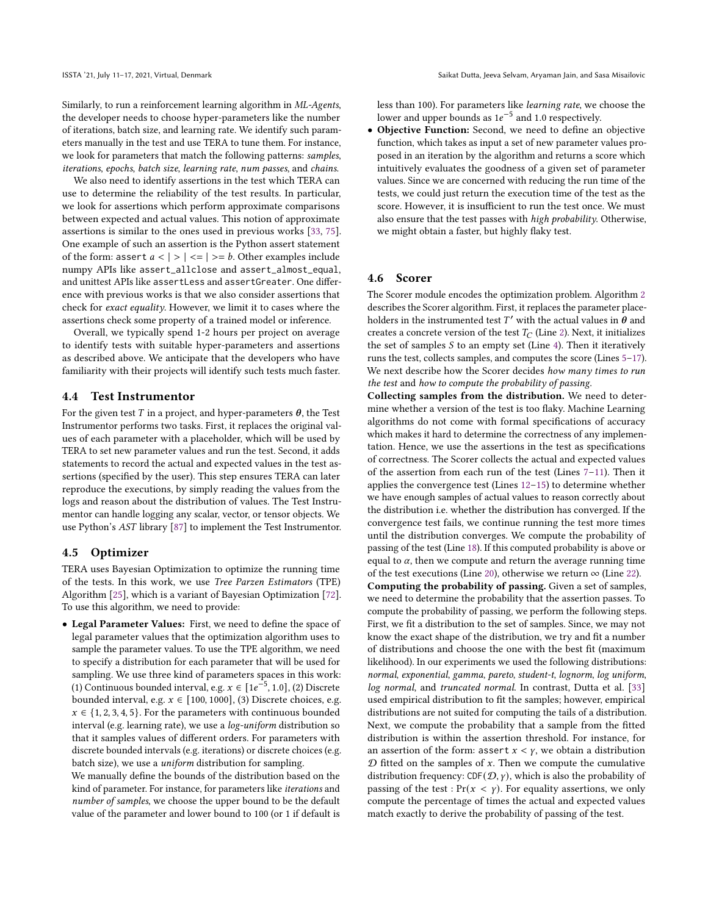Similarly, to run a reinforcement learning algorithm in ML-Agents, the developer needs to choose hyper-parameters like the number of iterations, batch size, and learning rate. We identify such parameters manually in the test and use TERA to tune them. For instance, we look for parameters that match the following patterns: samples, iterations, epochs, batch size, learning rate, num passes, and chains.

We also need to identify assertions in the test which TERA can use to determine the reliability of the test results. In particular, we look for assertions which perform approximate comparisons between expected and actual values. This notion of approximate assertions is similar to the ones used in previous works [\[33,](#page-12-6) [75\]](#page-12-21). One example of such an assertion is the Python assert statement of the form: assert  $a < | > | == | == b$ . Other examples include numpy APIs like assert\_allclose and assert\_almost\_equal, and unittest APIs like assertLess and assertGreater. One difference with previous works is that we also consider assertions that check for exact equality. However, we limit it to cases where the assertions check some property of a trained model or inference.

Overall, we typically spend 1-2 hours per project on average to identify tests with suitable hyper-parameters and assertions as described above. We anticipate that the developers who have familiarity with their projects will identify such tests much faster.

#### 4.4 Test Instrumentor

For the given test  $T$  in a project, and hyper-parameters  $\theta$ , the Test Instrumentor performs two tasks. First, it replaces the original values of each parameter with a placeholder, which will be used by TERA to set new parameter values and run the test. Second, it adds statements to record the actual and expected values in the test assertions (specified by the user). This step ensures TERA can later reproduce the executions, by simply reading the values from the logs and reason about the distribution of values. The Test Instrumentor can handle logging any scalar, vector, or tensor objects. We use Python's AST library [\[87\]](#page-13-10) to implement the Test Instrumentor.

#### <span id="page-5-1"></span>4.5 Optimizer

TERA uses Bayesian Optimization to optimize the running time of the tests. In this work, we use Tree Parzen Estimators (TPE) Algorithm [\[25\]](#page-12-14), which is a variant of Bayesian Optimization [\[72\]](#page-12-13). To use this algorithm, we need to provide:

• Legal Parameter Values: First, we need to define the space of legal parameter values that the optimization algorithm uses to sample the parameter values. To use the TPE algorithm, we need to specify a distribution for each parameter that will be used for sampling. We use three kind of parameters spaces in this work: (1) Continuous bounded interval, e.g.  $x \in [1e^{-5}, 1.0]$ , (2) Discrete bounded interval, e.g.  $x \in [100, 1000]$ , (3) Discrete choices, e.g.  $x \in \{1, 2, 3, 4, 5\}$ . For the parameters with continuous bounded interval (e.g. learning rate), we use a log-uniform distribution so that it samples values of different orders. For parameters with discrete bounded intervals (e.g. iterations) or discrete choices (e.g. batch size), we use a uniform distribution for sampling.

We manually define the bounds of the distribution based on the kind of parameter. For instance, for parameters like iterations and number of samples, we choose the upper bound to be the default value of the parameter and lower bound to 100 (or 1 if default is less than 100). For parameters like learning rate, we choose the lower and upper bounds as  $1e^{-5}$  and 1.0 respectively.

• Objective Function: Second, we need to define an objective function, which takes as input a set of new parameter values proposed in an iteration by the algorithm and returns a score which intuitively evaluates the goodness of a given set of parameter values. Since we are concerned with reducing the run time of the tests, we could just return the execution time of the test as the score. However, it is insufficient to run the test once. We must also ensure that the test passes with high probability. Otherwise, we might obtain a faster, but highly flaky test.

#### <span id="page-5-0"></span>4.6 Scorer

The Scorer module encodes the optimization problem. Algorithm [2](#page-6-1) describes the Scorer algorithm. First, it replaces the parameter placeholders in the instrumented test  $T'$  with the actual values in  $\hat{\theta}$  and creates a concrete version of the test  $T_C$  (Line [2\)](#page-4-1). Next, it initializes the set of samples  $S$  to an empty set (Line [4\)](#page-4-3). Then it iteratively runs the test, collects samples, and computes the score (Lines [5–](#page-4-4)[17\)](#page-6-2). We next describe how the Scorer decides how many times to run the test and how to compute the probability of passing.

Collecting samples from the distribution. We need to determine whether a version of the test is too flaky. Machine Learning algorithms do not come with formal specifications of accuracy which makes it hard to determine the correctness of any implementation. Hence, we use the assertions in the test as specifications of correctness. The Scorer collects the actual and expected values of the assertion from each run of the test (Lines [7](#page-4-5)[–11\)](#page-6-3). Then it applies the convergence test (Lines [12–](#page-6-4)[15\)](#page-6-5) to determine whether we have enough samples of actual values to reason correctly about the distribution i.e. whether the distribution has converged. If the convergence test fails, we continue running the test more times until the distribution converges. We compute the probability of passing of the test (Line [18\)](#page-6-6). If this computed probability is above or equal to  $\alpha$ , then we compute and return the average running time of the test executions (Line [20\)](#page-6-7), otherwise we return  $\infty$  (Line [22\)](#page-6-8). Computing the probability of passing. Given a set of samples, we need to determine the probability that the assertion passes. To compute the probability of passing, we perform the following steps. First, we fit a distribution to the set of samples. Since, we may not know the exact shape of the distribution, we try and fit a number of distributions and choose the one with the best fit (maximum likelihood). In our experiments we used the following distributions: normal, exponential, gamma, pareto, student-t, lognorm, log uniform, log normal, and truncated normal. In contrast, Dutta et al. [\[33\]](#page-12-6) used empirical distribution to fit the samples; however, empirical distributions are not suited for computing the tails of a distribution. Next, we compute the probability that a sample from the fitted distribution is within the assertion threshold. For instance, for an assertion of the form: assert  $x < y$ , we obtain a distribution  $D$  fitted on the samples of  $x$ . Then we compute the cumulative distribution frequency:  $CDF(D, \gamma)$ , which is also the probability of passing of the test :  $Pr(x < y)$ . For equality assertions, we only compute the percentage of times the actual and expected values match exactly to derive the probability of passing of the test.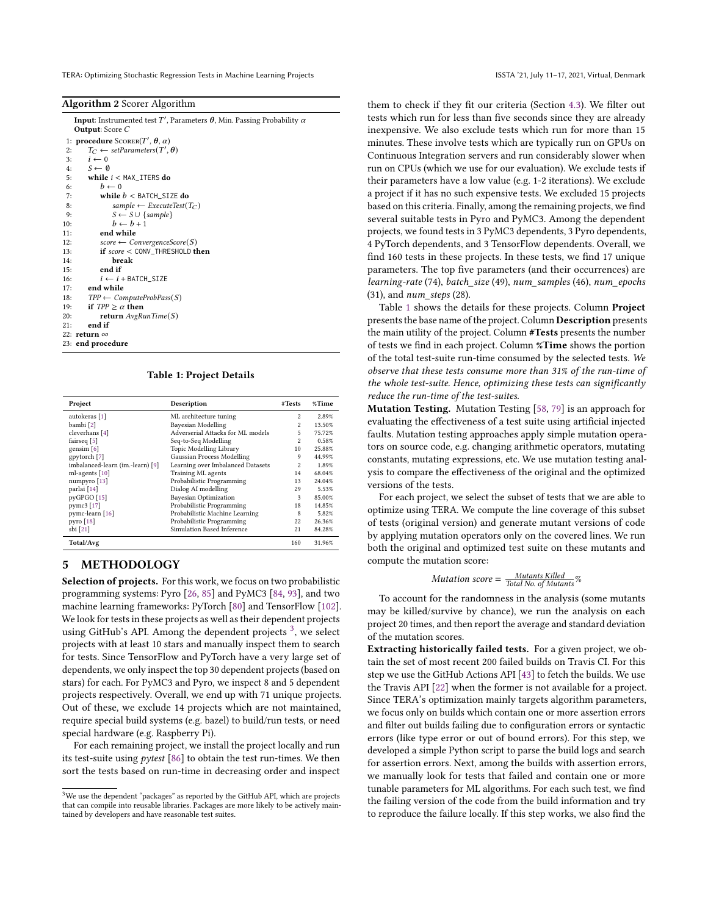<span id="page-6-1"></span>

| Algorithm 2 Scorer Algorithm |  |  |
|------------------------------|--|--|
|                              |  |  |

<span id="page-6-4"></span><span id="page-6-3"></span>

| <b>Input:</b> Instrumented test T', Parameters $\theta$ , Min. Passing Probability $\alpha$<br><b>Output:</b> Score $C$ |
|-------------------------------------------------------------------------------------------------------------------------|
| 1: <b>procedure</b> SCORER(T', $\theta$ , $\alpha$ )                                                                    |
| $T_C \leftarrow setParameters(T', \theta)$<br>2:                                                                        |
| $i \leftarrow 0$<br>3:                                                                                                  |
| 4: $S \leftarrow \emptyset$                                                                                             |
| 5: while $i <$ MAX_ITERS do                                                                                             |
| $b \leftarrow 0$<br>6:                                                                                                  |
| while $b <$ BATCH_SIZE do<br>7:                                                                                         |
| sample $\leftarrow$ ExecuteTest(T <sub>C</sub> )<br>8:                                                                  |
| $S \leftarrow S \cup \{sample\}$<br>9:                                                                                  |
| $b \leftarrow b + 1$<br>10:                                                                                             |
| end while<br>11:                                                                                                        |
| $score \leftarrow ConvergenceScore(S)$<br>12:                                                                           |
| $if score <$ CONV_THRESHOLD then<br>13:                                                                                 |
| break<br>14:                                                                                                            |
| end if<br>15:                                                                                                           |
| 16:<br>$i \leftarrow i$ + BATCH_SIZE                                                                                    |
| end while<br>17:                                                                                                        |
| $TPP \leftarrow ComputeProbPass(S)$<br>18:                                                                              |
| if $TPP > \alpha$ then<br>19:                                                                                           |
| return $AvgRunTime(S)$<br>20:                                                                                           |
| end if<br>21:                                                                                                           |
| 22: return $\infty$                                                                                                     |
| 23: end procedure                                                                                                       |
|                                                                                                                         |

Table 1: Project Details

<span id="page-6-10"></span><span id="page-6-8"></span><span id="page-6-7"></span><span id="page-6-6"></span><span id="page-6-5"></span><span id="page-6-2"></span>

| Project                          | Description                       | #Tests         | %Time  |
|----------------------------------|-----------------------------------|----------------|--------|
| autokeras [1]                    | ML architecture tuning            | $\overline{c}$ | 2.89%  |
| bambi <sup>[2]</sup>             | Bayesian Modelling                | $\overline{c}$ | 13.50% |
| cleverhans [4]                   | Adverserial Attacks for ML models | 5              | 75.72% |
| fairseq [5]                      | Seq-to-Seq Modelling              | $\overline{2}$ | 0.58%  |
| gensim $[6]$                     | Topic Modelling Library           | 10             | 25.88% |
| gpytorch [7]                     | Gaussian Process Modelling        | 9              | 44.99% |
| imbalanced-learn (im.-learn) [9] | Learning over Imbalanced Datasets | $\overline{2}$ | 1.89%  |
| ml-agents [10]                   | Training ML agents                | 14             | 68.04% |
| numpyro [13]                     | Probabilistic Programming         | 13             | 24.04% |
| parlai [14]                      | Dialog AI modelling               | 29             | 5.53%  |
| pyGPGO [15]                      | <b>Bayesian Optimization</b>      | 3              | 85.00% |
| pymc3 [17]                       | Probabilistic Programming         | 18             | 14.85% |
| pymc-learn [16]                  | Probabilistic Machine Learning    | 8              | 5.82%  |
| pyro $[18]$                      | Probabilistic Programming         | 22             | 26.36% |
| sbi [21]                         | Simulation Based Inference        | 21             | 84.28% |
| Total/Avg                        |                                   | 160            | 31.96% |

#### <span id="page-6-0"></span>5 METHODOLOGY

Selection of projects. For this work, we focus on two probabilistic programming systems: Pyro [\[26,](#page-12-36) [85\]](#page-13-11) and PyMC3 [\[84,](#page-13-12) [93\]](#page-13-13), and two machine learning frameworks: PyTorch [\[80\]](#page-13-14) and TensorFlow [\[102\]](#page-13-15). We look for tests in these projects as well as their dependent projects using GitHub's API. Among the dependent projects  $\frac{3}{2}$  $\frac{3}{2}$  $\frac{3}{2}$ , we select projects with at least 10 stars and manually inspect them to search for tests. Since TensorFlow and PyTorch have a very large set of dependents, we only inspect the top 30 dependent projects (based on stars) for each. For PyMC3 and Pyro, we inspect 8 and 5 dependent projects respectively. Overall, we end up with 71 unique projects. Out of these, we exclude 14 projects which are not maintained, require special build systems (e.g. bazel) to build/run tests, or need special hardware (e.g. Raspberry Pi).

For each remaining project, we install the project locally and run its test-suite using pytest [\[86\]](#page-13-16) to obtain the test run-times. We then sort the tests based on run-time in decreasing order and inspect them to check if they fit our criteria (Section [4.3\)](#page-4-6). We filter out tests which run for less than five seconds since they are already inexpensive. We also exclude tests which run for more than 15 minutes. These involve tests which are typically run on GPUs on Continuous Integration servers and run considerably slower when run on CPUs (which we use for our evaluation). We exclude tests if their parameters have a low value (e.g. 1-2 iterations). We exclude a project if it has no such expensive tests. We excluded 15 projects based on this criteria. Finally, among the remaining projects, we find several suitable tests in Pyro and PyMC3. Among the dependent projects, we found tests in 3 PyMC3 dependents, 3 Pyro dependents, 4 PyTorch dependents, and 3 TensorFlow dependents. Overall, we find 160 tests in these projects. In these tests, we find 17 unique parameters. The top five parameters (and their occurrences) are learning-rate (74), batch\_size (49), num\_samples (46), num\_epochs  $(31)$ , and *num* steps  $(28)$ .

Table [1](#page-6-10) shows the details for these projects. Column Project presents the base name of the project. Column Description presents the main utility of the project. Column #Tests presents the number of tests we find in each project. Column %Time shows the portion of the total test-suite run-time consumed by the selected tests. We observe that these tests consume more than 31% of the run-time of the whole test-suite. Hence, optimizing these tests can significantly reduce the run-time of the test-suites.

Mutation Testing. Mutation Testing [\[58,](#page-12-37) [79\]](#page-13-17) is an approach for evaluating the effectiveness of a test suite using artificial injected faults. Mutation testing approaches apply simple mutation operators on source code, e.g. changing arithmetic operators, mutating constants, mutating expressions, etc. We use mutation testing analysis to compare the effectiveness of the original and the optimized versions of the tests.

For each project, we select the subset of tests that we are able to optimize using TERA. We compute the line coverage of this subset of tests (original version) and generate mutant versions of code by applying mutation operators only on the covered lines. We run both the original and optimized test suite on these mutants and compute the mutation score:

$$
Mutation score = \frac{Mutants Killed}{Total No. of Mutants}\%
$$

To account for the randomness in the analysis (some mutants may be killed/survive by chance), we run the analysis on each project 20 times, and then report the average and standard deviation of the mutation scores.

Extracting historically failed tests. For a given project, we obtain the set of most recent 200 failed builds on Travis CI. For this step we use the GitHub Actions API [\[43\]](#page-12-38) to fetch the builds. We use the Travis API [\[22\]](#page-12-7) when the former is not available for a project. Since TERA's optimization mainly targets algorithm parameters, we focus only on builds which contain one or more assertion errors and filter out builds failing due to configuration errors or syntactic errors (like type error or out of bound errors). For this step, we developed a simple Python script to parse the build logs and search for assertion errors. Next, among the builds with assertion errors, we manually look for tests that failed and contain one or more tunable parameters for ML algorithms. For each such test, we find the failing version of the code from the build information and try to reproduce the failure locally. If this step works, we also find the

<span id="page-6-9"></span> $3$ We use the dependent "packages" as reported by the GitHub API, which are projects that can compile into reusable libraries. Packages are more likely to be actively maintained by developers and have reasonable test suites.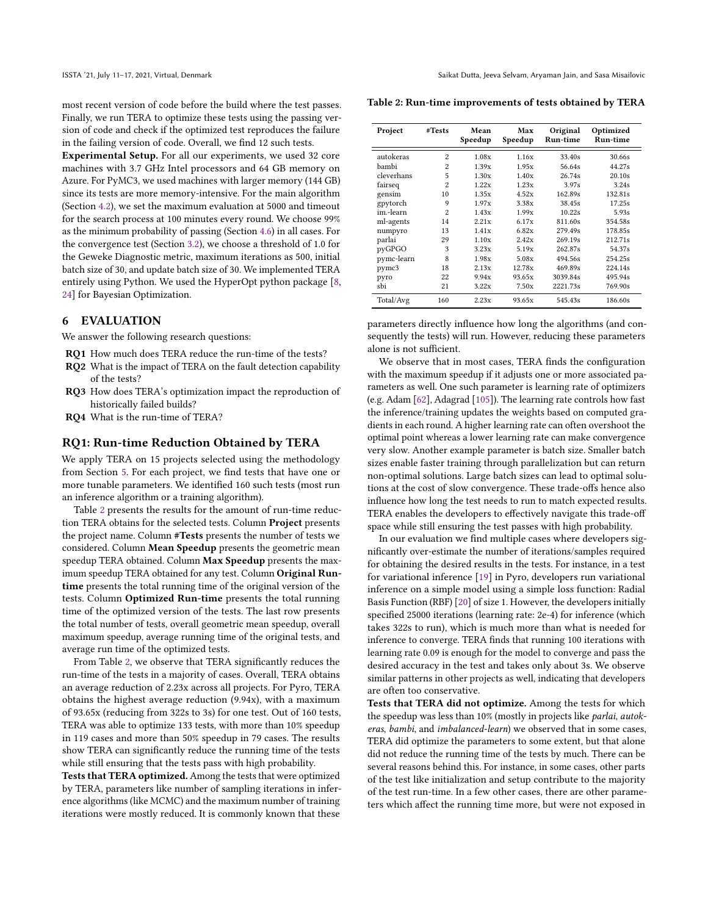most recent version of code before the build where the test passes. Finally, we run TERA to optimize these tests using the passing version of code and check if the optimized test reproduces the failure in the failing version of code. Overall, we find 12 such tests.

Experimental Setup. For all our experiments, we used 32 core machines with 3.7 GHz Intel processors and 64 GB memory on Azure. For PyMC3, we used machines with larger memory (144 GB) since its tests are more memory-intensive. For the main algorithm (Section [4.2\)](#page-4-7), we set the maximum evaluation at 5000 and timeout for the search process at 100 minutes every round. We choose 99% as the minimum probability of passing (Section [4.6\)](#page-5-0) in all cases. For the convergence test (Section [3.2\)](#page-3-1), we choose a threshold of 1.0 for the Geweke Diagnostic metric, maximum iterations as 500, initial batch size of 30, and update batch size of 30. We implemented TERA entirely using Python. We used the HyperOpt python package [\[8,](#page-12-39) [24\]](#page-12-40) for Bayesian Optimization.

#### 6 EVALUATION

We answer the following research questions:

RQ1 How much does TERA reduce the run-time of the tests?

- RQ2 What is the impact of TERA on the fault detection capability of the tests?
- RQ3 How does TERA's optimization impact the reproduction of historically failed builds?
- RQ4 What is the run-time of TERA?

#### RQ1: Run-time Reduction Obtained by TERA

We apply TERA on 15 projects selected using the methodology from Section [5.](#page-6-0) For each project, we find tests that have one or more tunable parameters. We identified 160 such tests (most run an inference algorithm or a training algorithm).

Table [2](#page-7-0) presents the results for the amount of run-time reduction TERA obtains for the selected tests. Column Project presents the project name. Column #Tests presents the number of tests we considered. Column Mean Speedup presents the geometric mean speedup TERA obtained. Column Max Speedup presents the maximum speedup TERA obtained for any test. Column Original Runtime presents the total running time of the original version of the tests. Column Optimized Run-time presents the total running time of the optimized version of the tests. The last row presents the total number of tests, overall geometric mean speedup, overall maximum speedup, average running time of the original tests, and average run time of the optimized tests.

From Table [2,](#page-7-0) we observe that TERA significantly reduces the run-time of the tests in a majority of cases. Overall, TERA obtains an average reduction of 2.23x across all projects. For Pyro, TERA obtains the highest average reduction (9.94x), with a maximum of 93.65x (reducing from 322s to 3s) for one test. Out of 160 tests, TERA was able to optimize 133 tests, with more than 10% speedup in 119 cases and more than 50% speedup in 79 cases. The results show TERA can significantly reduce the running time of the tests while still ensuring that the tests pass with high probability.

Tests that TERA optimized. Among the tests that were optimized by TERA, parameters like number of sampling iterations in inference algorithms (like MCMC) and the maximum number of training iterations were mostly reduced. It is commonly known that these

<span id="page-7-0"></span>Table 2: Run-time improvements of tests obtained by TERA

| Project    | #Tests           | Mean<br>Speedup | Max<br>Speedup | Original<br>Run-time | Optimized<br>Run-time |
|------------|------------------|-----------------|----------------|----------------------|-----------------------|
| autokeras  | $\overline{c}$   | 1.08x           | 1.16x          | 33.40s               | 30.66s                |
| bambi      | 2                | 1.39x           | 1.95x          | 56.64s               | 44.27s                |
| cleverhans | 5                | 1.30x           | 1.40x          | 26.74s               | 20.10s                |
| fairseq    | $\overline{c}$   | 1.22x           | 1.23x          | 3.97s                | 3.24s                 |
| gensim     | 10               | 1.35x           | 4.52x          | 162.89s              | 132.81s               |
| gpytorch   | 9                | 1.97x           | 3.38x          | 38.45s               | 17.25s                |
| im.-learn  | $\overline{c}$   | 1.43x           | 1.99x          | 10.22s               | 5.93s                 |
| ml-agents  | 14               | 2.21x           | 6.17x          | 811.60s              | 354.58s               |
| numpyro    | 13               | 1.41x           | 6.82x          | 279.49s              | 178.85s               |
| parlai     | 29               | 1.10x           | 2.42x          | 269.19s              | 212.71s               |
| pyGPGO     | 3                | 3.23x           | 5.19x          | 262.87s              | 54.37s                |
| pymc-learn | $\boldsymbol{8}$ | 1.98x           | 5.08x          | 494.56s              | 254.25s               |
| pymc3      | 18               | 2.13x           | 12.78x         | 469.89s              | 224.14s               |
| pyro       | 22               | 9.94x           | 93.65x         | 3039.84s             | 495.94s               |
| sbi        | 21               | 3.22x           | 7.50x          | 2221.73s             | 769.90s               |
| Total/Avg  | 160              | 2.23x           | 93.65x         | 545.43s              | 186.60s               |

parameters directly influence how long the algorithms (and consequently the tests) will run. However, reducing these parameters alone is not sufficient.

We observe that in most cases, TERA finds the configuration with the maximum speedup if it adjusts one or more associated parameters as well. One such parameter is learning rate of optimizers (e.g. Adam [\[62\]](#page-12-41), Adagrad [\[105\]](#page-13-18)). The learning rate controls how fast the inference/training updates the weights based on computed gradients in each round. A higher learning rate can often overshoot the optimal point whereas a lower learning rate can make convergence very slow. Another example parameter is batch size. Smaller batch sizes enable faster training through parallelization but can return non-optimal solutions. Large batch sizes can lead to optimal solutions at the cost of slow convergence. These trade-offs hence also influence how long the test needs to run to match expected results. TERA enables the developers to effectively navigate this trade-off space while still ensuring the test passes with high probability.

In our evaluation we find multiple cases where developers significantly over-estimate the number of iterations/samples required for obtaining the desired results in the tests. For instance, in a test for variational inference [\[19\]](#page-12-42) in Pyro, developers run variational inference on a simple model using a simple loss function: Radial Basis Function (RBF) [\[20\]](#page-12-43) of size 1. However, the developers initially specified 25000 iterations (learning rate: 2e-4) for inference (which takes 322s to run), which is much more than what is needed for inference to converge. TERA finds that running 100 iterations with learning rate 0.09 is enough for the model to converge and pass the desired accuracy in the test and takes only about 3s. We observe similar patterns in other projects as well, indicating that developers are often too conservative.

Tests that TERA did not optimize. Among the tests for which the speedup was less than 10% (mostly in projects like parlai, autokeras, bambi, and imbalanced-learn) we observed that in some cases, TERA did optimize the parameters to some extent, but that alone did not reduce the running time of the tests by much. There can be several reasons behind this. For instance, in some cases, other parts of the test like initialization and setup contribute to the majority of the test run-time. In a few other cases, there are other parameters which affect the running time more, but were not exposed in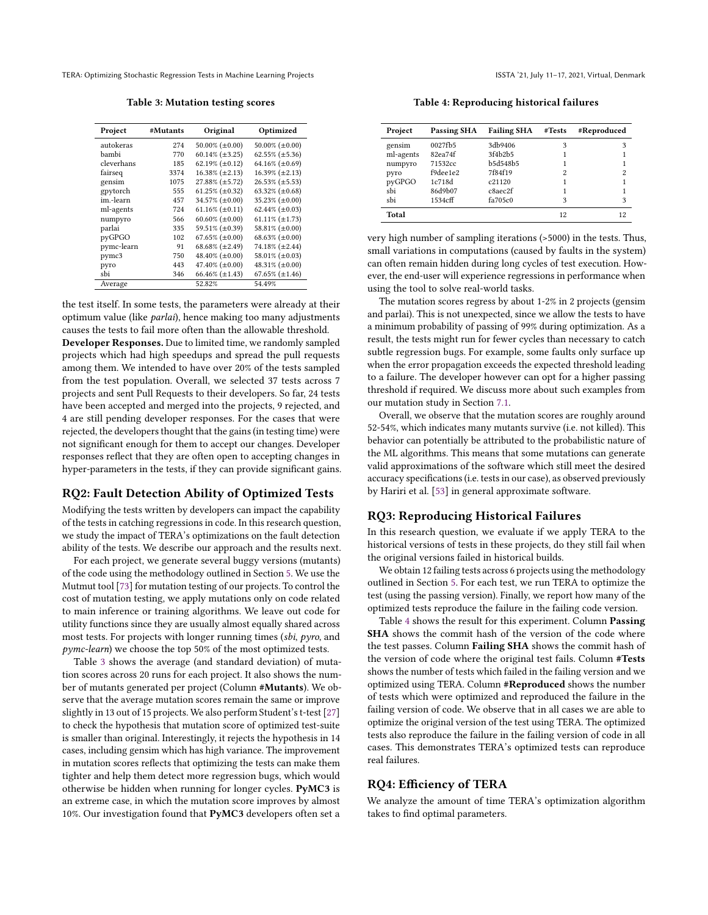Table 3: Mutation testing scores

<span id="page-8-0"></span>

| Project    | #Mutants | Original                | Optimized                |
|------------|----------|-------------------------|--------------------------|
| autokeras  | 274      | 50.00% $(\pm 0.00)$     | 50.00% ( $\pm$ 0.00)     |
| bambi      | 770      | $60.14\%$ (±3.25)       | $62.55\%$ (±5.36)        |
| cleverhans | 185      | 62.19% $(\pm 0.12)$     | 64.16% $(\pm 0.69)$      |
| fairseg    | 3374     | $16.38\%$ (±2.13)       | $16.39\% (\pm 2.13)$     |
| gensim     | 1075     | $27.88\%$ ( $\pm$ 5.72) | $26.53\%$ (±5.53)        |
| gpytorch   | 555      | 61.25% $(\pm 0.32)$     | 63.32% $(\pm 0.68)$      |
| im.-learn  | 457      | 34.57% (±0.00)          | 35.23% $(\pm 0.00)$      |
| ml-agents  | 724      | 61.16% $(\pm 0.11)$     | 62.44% $(\pm 0.03)$      |
| numpyro    | 566      | 60.60% ( $\pm$ 0.00)    | 61.11% $(\pm 1.73)$      |
| parlai     | 335      | 59.51% (±0.39)          | 58.81% $(\pm 0.00)$      |
| pyGPGO     | 102      | 67.65% ( $\pm 0.00$ )   | 68.63% $(\pm 0.00)$      |
| pymc-learn | 91       | 68.68% $(\pm 2.49)$     | $74.18\%$ ( $\pm 2.44$ ) |
| pymc3      | 750      | 48.40% $(\pm 0.00)$     | 58.01% $(\pm 0.03)$      |
| pyro       | 443      | 47.40% $(\pm 0.00)$     | 48.31% $(\pm 0.00)$      |
| sbi        | 346      | 66.46% $(\pm 1.43)$     | $67.65\%$ (±1.46)        |
| Average    |          | 52.82%                  | 54.49%                   |

the test itself. In some tests, the parameters were already at their optimum value (like parlai), hence making too many adjustments causes the tests to fail more often than the allowable threshold.

Developer Responses. Due to limited time, we randomly sampled projects which had high speedups and spread the pull requests among them. We intended to have over 20% of the tests sampled from the test population. Overall, we selected 37 tests across 7 projects and sent Pull Requests to their developers. So far, 24 tests have been accepted and merged into the projects, 9 rejected, and 4 are still pending developer responses. For the cases that were rejected, the developers thought that the gains (in testing time) were not significant enough for them to accept our changes. Developer responses reflect that they are often open to accepting changes in hyper-parameters in the tests, if they can provide significant gains.

#### RQ2: Fault Detection Ability of Optimized Tests

Modifying the tests written by developers can impact the capability of the tests in catching regressions in code. In this research question, we study the impact of TERA's optimizations on the fault detection ability of the tests. We describe our approach and the results next.

For each project, we generate several buggy versions (mutants) of the code using the methodology outlined in Section [5.](#page-6-0) We use the Mutmut tool [\[73\]](#page-12-44) for mutation testing of our projects. To control the cost of mutation testing, we apply mutations only on code related to main inference or training algorithms. We leave out code for utility functions since they are usually almost equally shared across most tests. For projects with longer running times (sbi, pyro, and pymc-learn) we choose the top 50% of the most optimized tests.

Table [3](#page-8-0) shows the average (and standard deviation) of mutation scores across 20 runs for each project. It also shows the number of mutants generated per project (Column #Mutants). We observe that the average mutation scores remain the same or improve slightly in 13 out of 15 projects. We also perform Student's t-test [\[27\]](#page-12-45) to check the hypothesis that mutation score of optimized test-suite is smaller than original. Interestingly, it rejects the hypothesis in 14 cases, including gensim which has high variance. The improvement in mutation scores reflects that optimizing the tests can make them tighter and help them detect more regression bugs, which would otherwise be hidden when running for longer cycles. PyMC3 is an extreme case, in which the mutation score improves by almost 10%. Our investigation found that PyMC3 developers often set a

Table 4: Reproducing historical failures

<span id="page-8-1"></span>

| Project   | <b>Passing SHA</b> | <b>Failing SHA</b> | #Tests | #Reproduced |
|-----------|--------------------|--------------------|--------|-------------|
| gensim    | 0027fb5            | 3db9406            | 3      | 3           |
| ml-agents | 82ea74f            | 3f4b2b5            |        |             |
| numpyro   | 71532cc            | b5d548b5           |        |             |
| pyro      | f9dee1e2           | 7f84f19            | 2      | 2           |
| pyGPGO    | 1c718d             | c21120             |        |             |
| shi       | 86d9b07            | c8aec2f            |        |             |
| shi       | 1534cff            | fa705c0            | 3      | 3           |
| Total     |                    |                    | 12     | 12          |

very high number of sampling iterations (>5000) in the tests. Thus, small variations in computations (caused by faults in the system) can often remain hidden during long cycles of test execution. However, the end-user will experience regressions in performance when using the tool to solve real-world tasks.

The mutation scores regress by about 1-2% in 2 projects (gensim and parlai). This is not unexpected, since we allow the tests to have a minimum probability of passing of 99% during optimization. As a result, the tests might run for fewer cycles than necessary to catch subtle regression bugs. For example, some faults only surface up when the error propagation exceeds the expected threshold leading to a failure. The developer however can opt for a higher passing threshold if required. We discuss more about such examples from our mutation study in Section [7.1.](#page-9-0)

Overall, we observe that the mutation scores are roughly around 52-54%, which indicates many mutants survive (i.e. not killed). This behavior can potentially be attributed to the probabilistic nature of the ML algorithms. This means that some mutations can generate valid approximations of the software which still meet the desired accuracy specifications (i.e. tests in our case), as observed previously by Hariri et al. [\[53\]](#page-12-46) in general approximate software.

#### RQ3: Reproducing Historical Failures

In this research question, we evaluate if we apply TERA to the historical versions of tests in these projects, do they still fail when the original versions failed in historical builds.

We obtain 12 failing tests across 6 projects using the methodology outlined in Section [5.](#page-6-0) For each test, we run TERA to optimize the test (using the passing version). Finally, we report how many of the optimized tests reproduce the failure in the failing code version.

Table [4](#page-8-1) shows the result for this experiment. Column Passing SHA shows the commit hash of the version of the code where the test passes. Column Failing SHA shows the commit hash of the version of code where the original test fails. Column #Tests shows the number of tests which failed in the failing version and we optimized using TERA. Column #Reproduced shows the number of tests which were optimized and reproduced the failure in the failing version of code. We observe that in all cases we are able to optimize the original version of the test using TERA. The optimized tests also reproduce the failure in the failing version of code in all cases. This demonstrates TERA's optimized tests can reproduce real failures.

#### RQ4: Efficiency of TERA

We analyze the amount of time TERA's optimization algorithm takes to find optimal parameters.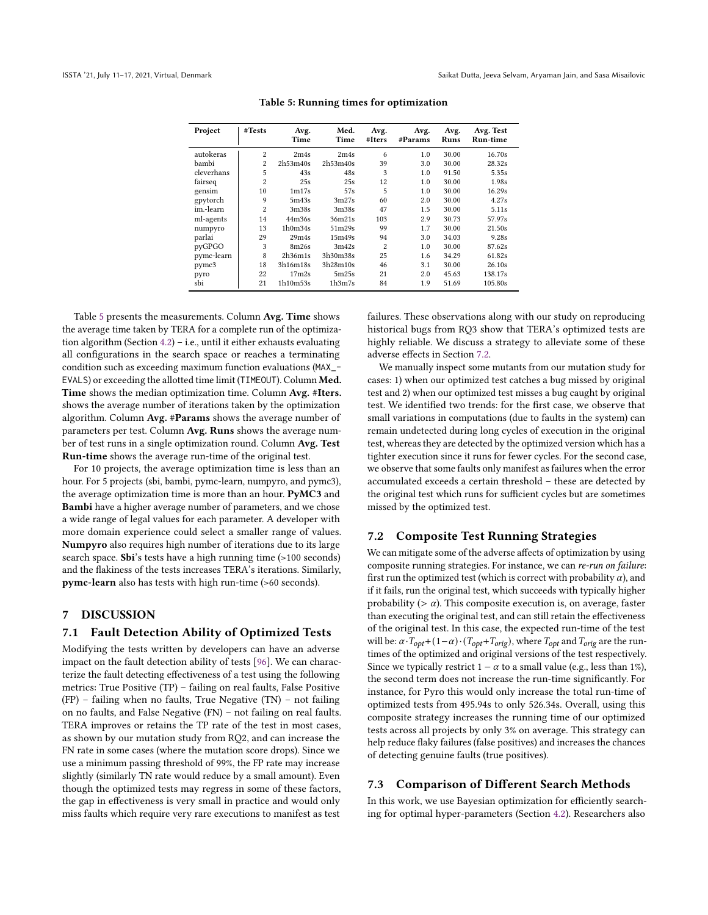<span id="page-9-2"></span>

| Project    | #Tests         | Avg.<br>Time      | Med.<br>Time      | Avg.<br>#Iters | Avg.<br>#Params | Avg.<br>Runs | Avg. Test<br><b>Run-time</b> |
|------------|----------------|-------------------|-------------------|----------------|-----------------|--------------|------------------------------|
| autokeras  | $\overline{c}$ | 2m4s              | 2m4s              | 6              | 1.0             | 30.00        | 16.70s                       |
| bambi      | $\overline{2}$ | 2h53m40s          | 2h53m40s          | 39             | 3.0             | 30.00        | 28.32s                       |
| cleverhans | 5              | 43s               | 48s               | 3              | 1.0             | 91.50        | 5.35s                        |
| fairseg    | $\overline{c}$ | 25s               | 25s               | 12             | 1.0             | 30.00        | 1.98s                        |
| gensim     | 10             | 1 <sub>m17s</sub> | 57s               | 5              | 1.0             | 30.00        | 16.29s                       |
| gpytorch   | 9              | 5m43s             | 3m27s             | 60             | 2.0             | 30.00        | 4.27s                        |
| im.-learn  | $\overline{c}$ | 3 <sub>m38s</sub> | 3 <sub>m38s</sub> | 47             | 1.5             | 30.00        | 5.11s                        |
| ml-agents  | 14             | 44m36s            | 36m21s            | 103            | 2.9             | 30.73        | 57.97s                       |
| numpyro    | 13             | 1h0m34s           | 51m29s            | 99             | 1.7             | 30.00        | 21.50s                       |
| parlai     | 29             | 29m4s             | 15m49s            | 94             | 3.0             | 34.03        | 9.28s                        |
| pyGPGO     | 3              | 8m26s             | 3m42s             | 2              | 1.0             | 30.00        | 87.62s                       |
| pymc-learn | 8              | 2h36m1s           | 3h30m38s          | 25             | 1.6             | 34.29        | 61.82s                       |
| pymc3      | 18             | 3h16m18s          | 3h28m10s          | 46             | 3.1             | 30.00        | 26.10s                       |
| pyro       | 22             | 17 <sub>m2s</sub> | 5m25s             | 21             | 2.0             | 45.63        | 138.17s                      |
| sbi        | 21             | 1h10m53s          | 1h3m7s            | 84             | 1.9             | 51.69        | 105.80s                      |

Table 5: Running times for optimization

Table [5](#page-9-2) presents the measurements. Column Avg. Time shows the average time taken by TERA for a complete run of the optimization algorithm (Section [4.2\)](#page-4-7) – i.e., until it either exhausts evaluating all configurations in the search space or reaches a terminating condition such as exceeding maximum function evaluations (MAX\_- EVALS) or exceeding the allotted time limit (TIMEOUT). Column Med. Time shows the median optimization time. Column Avg. #Iters. shows the average number of iterations taken by the optimization algorithm. Column Avg. #Params shows the average number of parameters per test. Column Avg. Runs shows the average number of test runs in a single optimization round. Column Avg. Test Run-time shows the average run-time of the original test.

For 10 projects, the average optimization time is less than an hour. For 5 projects (sbi, bambi, pymc-learn, numpyro, and pymc3), the average optimization time is more than an hour. PyMC3 and Bambi have a higher average number of parameters, and we chose a wide range of legal values for each parameter. A developer with more domain experience could select a smaller range of values. Numpyro also requires high number of iterations due to its large search space. Sbi's tests have a high running time (>100 seconds) and the flakiness of the tests increases TERA's iterations. Similarly, pymc-learn also has tests with high run-time (>60 seconds).

#### 7 DISCUSSION

#### <span id="page-9-0"></span>7.1 Fault Detection Ability of Optimized Tests

Modifying the tests written by developers can have an adverse impact on the fault detection ability of tests [\[96\]](#page-13-19). We can characterize the fault detecting effectiveness of a test using the following metrics: True Positive (TP) – failing on real faults, False Positive (FP) – failing when no faults, True Negative (TN) – not failing on no faults, and False Negative (FN) – not failing on real faults. TERA improves or retains the TP rate of the test in most cases, as shown by our mutation study from RQ2, and can increase the FN rate in some cases (where the mutation score drops). Since we use a minimum passing threshold of 99%, the FP rate may increase slightly (similarly TN rate would reduce by a small amount). Even though the optimized tests may regress in some of these factors, the gap in effectiveness is very small in practice and would only miss faults which require very rare executions to manifest as test

failures. These observations along with our study on reproducing historical bugs from RQ3 show that TERA's optimized tests are highly reliable. We discuss a strategy to alleviate some of these adverse effects in Section [7.2.](#page-9-1)

We manually inspect some mutants from our mutation study for cases: 1) when our optimized test catches a bug missed by original test and 2) when our optimized test misses a bug caught by original test. We identified two trends: for the first case, we observe that small variations in computations (due to faults in the system) can remain undetected during long cycles of execution in the original test, whereas they are detected by the optimized version which has a tighter execution since it runs for fewer cycles. For the second case, we observe that some faults only manifest as failures when the error accumulated exceeds a certain threshold – these are detected by the original test which runs for sufficient cycles but are sometimes missed by the optimized test.

#### <span id="page-9-1"></span>7.2 Composite Test Running Strategies

We can mitigate some of the adverse affects of optimization by using composite running strategies. For instance, we can re-run on failure: first run the optimized test (which is correct with probability  $\alpha$ ), and if it fails, run the original test, which succeeds with typically higher probability ( $> \alpha$ ). This composite execution is, on average, faster than executing the original test, and can still retain the effectiveness of the original test. In this case, the expected run-time of the test will be:  $\alpha \cdot T_{opt} + (1-\alpha) \cdot (T_{opt} + T_{orig})$ , where  $T_{opt}$  and  $T_{orig}$  are the runtimes of the optimized and original versions of the test respectively. Since we typically restrict  $1 - \alpha$  to a small value (e.g., less than 1%), the second term does not increase the run-time significantly. For instance, for Pyro this would only increase the total run-time of optimized tests from 495.94s to only 526.34s. Overall, using this composite strategy increases the running time of our optimized tests across all projects by only 3% on average. This strategy can help reduce flaky failures (false positives) and increases the chances of detecting genuine faults (true positives).

#### 7.3 Comparison of Different Search Methods

In this work, we use Bayesian optimization for efficiently searching for optimal hyper-parameters (Section [4.2\)](#page-4-7). Researchers also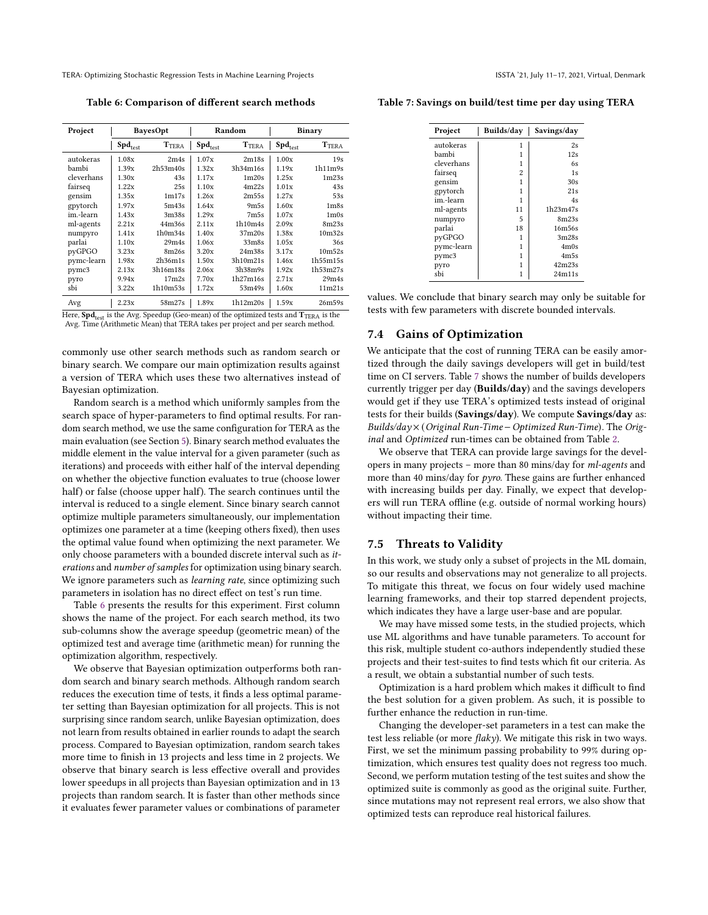<span id="page-10-0"></span>Table 6: Comparison of different search methods

| Project    | BayesOpt     |                   | Random       |                                | Binary       |                               |
|------------|--------------|-------------------|--------------|--------------------------------|--------------|-------------------------------|
|            | $Spd_{test}$ | <b>TTERA</b>      | $Spd_{test}$ | <b>TTERA</b>                   | $Spd_{test}$ | <b>TTERA</b>                  |
| autokeras  | 1.08x        | 2m4s              | 1.07x        | 2m18s                          | 1.00x        | 19s                           |
| bambi      | 1.39x        | 2h53m40s          | 1.32x        | 3h34m16s                       | 1.19x        | 1h11m9s                       |
| cleverhans | 1.30x        | 43s               | 1.17x        | 1 <sub>m20s</sub>              | 1.25x        | 1 <sub>m23s</sub>             |
| fairseq    | 1.22x        | 25s               | 1.10x        | 4m22s                          | 1.01x        | 43s                           |
| gensim     | 1.35x        | 1 <sub>m17s</sub> | 1.26x        | 2m55s                          | 1.27x        | 53s                           |
| gpytorch   | 1.97x        | 5m43s             | 1.64x        | 9m5s                           | 1.60x        | 1 <sub>m</sub> 8 <sub>s</sub> |
| im.-learn  | 1.43x        | 3m38s             | 1.29x        | 7 <sub>m5s</sub>               | 1.07x        | 1 <sub>m</sub> 0 <sub>s</sub> |
| ml-agents  | 2.21x        | 44m36s            | 2.11x        | 1h10m4s                        | 2.09x        | 8m23s                         |
| numpyro    | 1.41x        | 1h0m34s           | 1.40x        | 37m20s                         | 1.38x        | 10 <sub>m32s</sub>            |
| parlai     | 1.10x        | 29m4s             | 1.06x        | 33 <sub>m</sub> 8 <sub>s</sub> | 1.05x        | 36s                           |
| pyGPGO     | 3.23x        | 8m26s             | 3.20x        | 24m38s                         | 3.17x        | 10 <sub>m52s</sub>            |
| pymc-learn | 1.98x        | 2h36m1s           | 1.50x        | 3h10m21s                       | 1.46x        | 1h55m15s                      |
| pymc3      | 2.13x        | 3h16m18s          | 2.06x        | 3h38m9s                        | 1.92x        | 1h53m27s                      |
| pyro       | 9.94x        | 17 <sub>m2s</sub> | 7.70x        | 1h27m16s                       | 2.71x        | 29m4s                         |
| sbi        | 3.22x        | 1h10m53s          | 1.72x        | 53m49s                         | 1.60x        | 11m21s                        |
| Avø        | 2.23x        | 58m27s            | 1.89x        | 1h12m20s                       | 1.59x        | 26m59s                        |

Here,  $\text{Spd}_{\text{test}}$  is the Avg. Speedup (Geo-mean) of the optimized tests and  $\text{T}_{\text{TERA}}$  is the Avg. Time (Arithmetic Mean) that TERA takes per project and per search method.

commonly use other search methods such as random search or binary search. We compare our main optimization results against a version of TERA which uses these two alternatives instead of Bayesian optimization.

Random search is a method which uniformly samples from the search space of hyper-parameters to find optimal results. For random search method, we use the same configuration for TERA as the main evaluation (see Section [5\)](#page-6-0). Binary search method evaluates the middle element in the value interval for a given parameter (such as iterations) and proceeds with either half of the interval depending on whether the objective function evaluates to true (choose lower half) or false (choose upper half). The search continues until the interval is reduced to a single element. Since binary search cannot optimize multiple parameters simultaneously, our implementation optimizes one parameter at a time (keeping others fixed), then uses the optimal value found when optimizing the next parameter. We only choose parameters with a bounded discrete interval such as iterations and number of samples for optimization using binary search. We ignore parameters such as *learning rate*, since optimizing such parameters in isolation has no direct effect on test's run time.

Table [6](#page-10-0) presents the results for this experiment. First column shows the name of the project. For each search method, its two sub-columns show the average speedup (geometric mean) of the optimized test and average time (arithmetic mean) for running the optimization algorithm, respectively.

We observe that Bayesian optimization outperforms both random search and binary search methods. Although random search reduces the execution time of tests, it finds a less optimal parameter setting than Bayesian optimization for all projects. This is not surprising since random search, unlike Bayesian optimization, does not learn from results obtained in earlier rounds to adapt the search process. Compared to Bayesian optimization, random search takes more time to finish in 13 projects and less time in 2 projects. We observe that binary search is less effective overall and provides lower speedups in all projects than Bayesian optimization and in 13 projects than random search. It is faster than other methods since it evaluates fewer parameter values or combinations of parameter

<span id="page-10-1"></span>Table 7: Savings on build/test time per day using TERA

| Project    | Builds/day | Savings/day       |  |
|------------|------------|-------------------|--|
| autokeras  | 1          | 2s                |  |
| bambi      | 1          | 12s               |  |
| cleverhans | 1          | 6s                |  |
| fairseq    | 2          | 1s                |  |
| gensim     | 1          | 30s               |  |
| gpytorch   | 1          | 21s               |  |
| im.-learn  | 1          | 4s                |  |
| ml-agents  | 11         | 1h23m47s          |  |
| numpyro    | 5          | 8m23s             |  |
| parlai     | 18         | 16m56s            |  |
| pyGPGO     | 1          | 3m28s             |  |
| pymc-learn | 1          | 4 <sub>m</sub> 0s |  |
| pymc3      | 1          | 4 <sub>m5s</sub>  |  |
| pyro       | 1          | 42m23s            |  |
| shi        | 1          | 24m11s            |  |

values. We conclude that binary search may only be suitable for tests with few parameters with discrete bounded intervals.

#### 7.4 Gains of Optimization

We anticipate that the cost of running TERA can be easily amortized through the daily savings developers will get in build/test time on CI servers. Table [7](#page-10-1) shows the number of builds developers currently trigger per day (Builds/day) and the savings developers would get if they use TERA's optimized tests instead of original tests for their builds (Savings/day). We compute Savings/day as: Builds/day× (Original Run-Time−Optimized Run-Time). The Original and Optimized run-times can be obtained from Table [2.](#page-7-0)

We observe that TERA can provide large savings for the developers in many projects – more than 80 mins/day for ml-agents and more than 40 mins/day for pyro. These gains are further enhanced with increasing builds per day. Finally, we expect that developers will run TERA offline (e.g. outside of normal working hours) without impacting their time.

#### 7.5 Threats to Validity

In this work, we study only a subset of projects in the ML domain, so our results and observations may not generalize to all projects. To mitigate this threat, we focus on four widely used machine learning frameworks, and their top starred dependent projects, which indicates they have a large user-base and are popular.

We may have missed some tests, in the studied projects, which use ML algorithms and have tunable parameters. To account for this risk, multiple student co-authors independently studied these projects and their test-suites to find tests which fit our criteria. As a result, we obtain a substantial number of such tests.

Optimization is a hard problem which makes it difficult to find the best solution for a given problem. As such, it is possible to further enhance the reduction in run-time.

Changing the developer-set parameters in a test can make the test less reliable (or more  $\text{flak}y$ ). We mitigate this risk in two ways. First, we set the minimum passing probability to 99% during optimization, which ensures test quality does not regress too much. Second, we perform mutation testing of the test suites and show the optimized suite is commonly as good as the original suite. Further, since mutations may not represent real errors, we also show that optimized tests can reproduce real historical failures.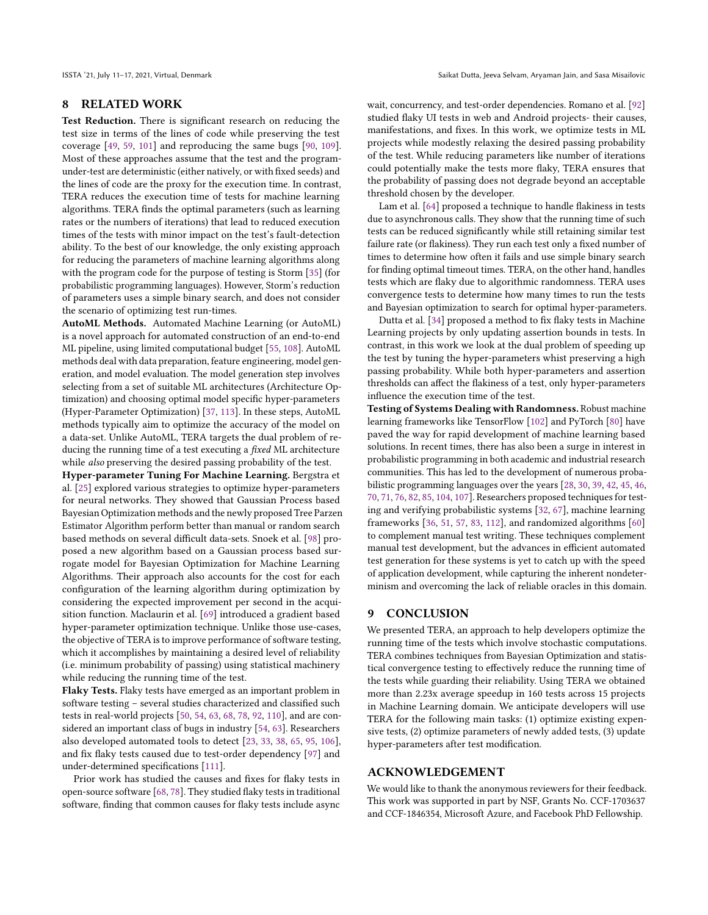#### 8 RELATED WORK

Test Reduction. There is significant research on reducing the test size in terms of the lines of code while preserving the test coverage [\[49,](#page-12-47) [59,](#page-12-48) [101\]](#page-13-20) and reproducing the same bugs [\[90,](#page-13-21) [109\]](#page-13-22). Most of these approaches assume that the test and the programunder-test are deterministic (either natively, or with fixed seeds) and the lines of code are the proxy for the execution time. In contrast, TERA reduces the execution time of tests for machine learning algorithms. TERA finds the optimal parameters (such as learning rates or the numbers of iterations) that lead to reduced execution times of the tests with minor impact on the test's fault-detection ability. To the best of our knowledge, the only existing approach for reducing the parameters of machine learning algorithms along with the program code for the purpose of testing is Storm [\[35\]](#page-12-49) (for probabilistic programming languages). However, Storm's reduction of parameters uses a simple binary search, and does not consider the scenario of optimizing test run-times.

AutoML Methods. Automated Machine Learning (or AutoML) is a novel approach for automated construction of an end-to-end ML pipeline, using limited computational budget [\[55,](#page-12-50) [108\]](#page-13-23). AutoML methods deal with data preparation, feature engineering, model generation, and model evaluation. The model generation step involves selecting from a set of suitable ML architectures (Architecture Optimization) and choosing optimal model specific hyper-parameters (Hyper-Parameter Optimization) [\[37,](#page-12-51) [113\]](#page-13-24). In these steps, AutoML methods typically aim to optimize the accuracy of the model on a data-set. Unlike AutoML, TERA targets the dual problem of reducing the running time of a test executing a fixed ML architecture while also preserving the desired passing probability of the test.

Hyper-parameter Tuning For Machine Learning. Bergstra et al. [\[25\]](#page-12-14) explored various strategies to optimize hyper-parameters for neural networks. They showed that Gaussian Process based Bayesian Optimization methods and the newly proposed Tree Parzen Estimator Algorithm perform better than manual or random search based methods on several difficult data-sets. Snoek et al. [\[98\]](#page-13-25) proposed a new algorithm based on a Gaussian process based surrogate model for Bayesian Optimization for Machine Learning Algorithms. Their approach also accounts for the cost for each configuration of the learning algorithm during optimization by considering the expected improvement per second in the acquisition function. Maclaurin et al. [\[69\]](#page-12-52) introduced a gradient based hyper-parameter optimization technique. Unlike those use-cases, the objective of TERA is to improve performance of software testing, which it accomplishes by maintaining a desired level of reliability (i.e. minimum probability of passing) using statistical machinery while reducing the running time of the test.

Flaky Tests. Flaky tests have emerged as an important problem in software testing – several studies characterized and classified such tests in real-world projects [\[50,](#page-12-53) [54,](#page-12-54) [63,](#page-12-55) [68,](#page-12-56) [78,](#page-13-26) [92,](#page-13-27) [110\]](#page-13-28), and are considered an important class of bugs in industry [\[54,](#page-12-54) [63\]](#page-12-55). Researchers also developed automated tools to detect [\[23,](#page-12-57) [33,](#page-12-6) [38,](#page-12-58) [65,](#page-12-59) [95,](#page-13-29) [106\]](#page-13-30), and fix flaky tests caused due to test-order dependency [\[97\]](#page-13-31) and under-determined specifications [\[111\]](#page-13-32).

Prior work has studied the causes and fixes for flaky tests in open-source software [\[68,](#page-12-56) [78\]](#page-13-26). They studied flaky tests in traditional software, finding that common causes for flaky tests include async wait, concurrency, and test-order dependencies. Romano et al. [\[92\]](#page-13-27) studied flaky UI tests in web and Android projects- their causes, manifestations, and fixes. In this work, we optimize tests in ML projects while modestly relaxing the desired passing probability of the test. While reducing parameters like number of iterations could potentially make the tests more flaky, TERA ensures that the probability of passing does not degrade beyond an acceptable threshold chosen by the developer.

Lam et al. [\[64\]](#page-12-60) proposed a technique to handle flakiness in tests due to asynchronous calls. They show that the running time of such tests can be reduced significantly while still retaining similar test failure rate (or flakiness). They run each test only a fixed number of times to determine how often it fails and use simple binary search for finding optimal timeout times. TERA, on the other hand, handles tests which are flaky due to algorithmic randomness. TERA uses convergence tests to determine how many times to run the tests and Bayesian optimization to search for optimal hyper-parameters.

Dutta et al. [\[34\]](#page-12-61) proposed a method to fix flaky tests in Machine Learning projects by only updating assertion bounds in tests. In contrast, in this work we look at the dual problem of speeding up the test by tuning the hyper-parameters whist preserving a high passing probability. While both hyper-parameters and assertion thresholds can affect the flakiness of a test, only hyper-parameters influence the execution time of the test.

Testing of Systems Dealing with Randomness. Robust machine learning frameworks like TensorFlow [\[102\]](#page-13-15) and PyTorch [\[80\]](#page-13-14) have paved the way for rapid development of machine learning based solutions. In recent times, there has also been a surge in interest in probabilistic programming in both academic and industrial research communities. This has led to the development of numerous probabilistic programming languages over the years [\[28,](#page-12-62) [30,](#page-12-63) [39,](#page-12-64) [42,](#page-12-65) [45,](#page-12-2) [46,](#page-12-66) [70,](#page-12-67) [71,](#page-12-68) [76,](#page-13-33) [82,](#page-13-34) [85,](#page-13-11) [104,](#page-13-35) [107\]](#page-13-36). Researchers proposed techniques for testing and verifying probabilistic systems [\[32,](#page-12-69) [67\]](#page-12-70), machine learning frameworks [\[36,](#page-12-71) [51,](#page-12-72) [57,](#page-12-73) [83,](#page-13-37) [112\]](#page-13-38), and randomized algorithms [\[60\]](#page-12-74) to complement manual test writing. These techniques complement manual test development, but the advances in efficient automated test generation for these systems is yet to catch up with the speed of application development, while capturing the inherent nondeterminism and overcoming the lack of reliable oracles in this domain.

#### 9 CONCLUSION

We presented TERA, an approach to help developers optimize the running time of the tests which involve stochastic computations. TERA combines techniques from Bayesian Optimization and statistical convergence testing to effectively reduce the running time of the tests while guarding their reliability. Using TERA we obtained more than 2.23x average speedup in 160 tests across 15 projects in Machine Learning domain. We anticipate developers will use TERA for the following main tasks: (1) optimize existing expensive tests, (2) optimize parameters of newly added tests, (3) update hyper-parameters after test modification.

#### ACKNOWLEDGEMENT

We would like to thank the anonymous reviewers for their feedback. This work was supported in part by NSF, Grants No. CCF-1703637 and CCF-1846354, Microsoft Azure, and Facebook PhD Fellowship.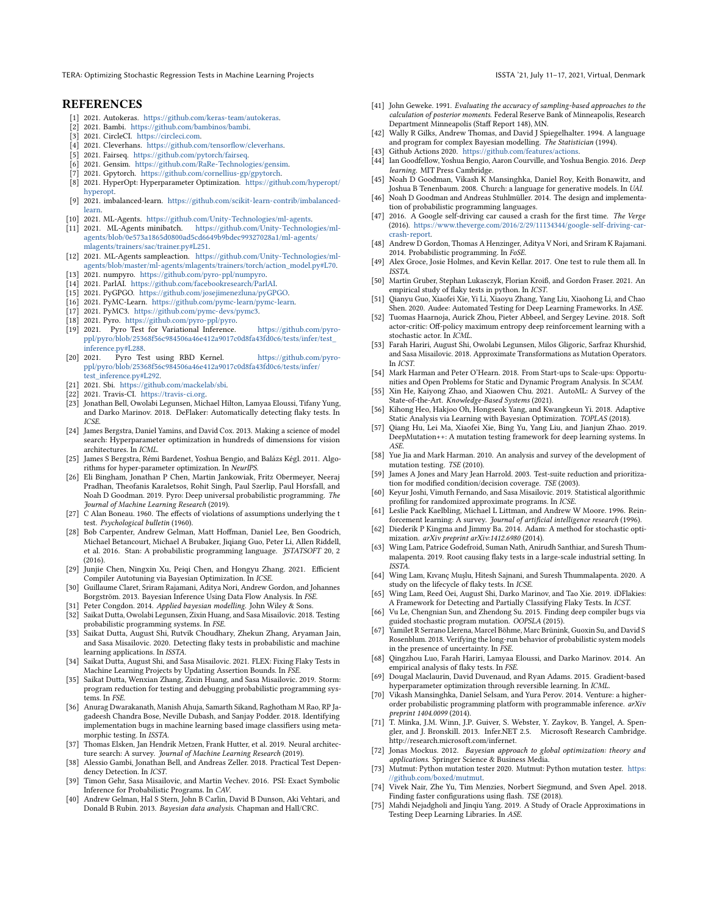#### **REFERENCES**

- <span id="page-12-22"></span>[1] 2021. Autokeras. [https://github.com/keras-team/autokeras.](https://github.com/keras-team/autokeras)
- <span id="page-12-23"></span>[2] 2021. Bambi. [https://github.com/bambinos/bambi.](https://github.com/bambinos/bambi)
- <span id="page-12-8"></span>[3] 2021. CircleCI. [https://circleci.com.](https://circleci.com)
- <span id="page-12-24"></span>[4] 2021. Cleverhans. [https://github.com/tensorflow/cleverhans.](https://github.com/tensorflow/cleverhans)
- <span id="page-12-26"></span><span id="page-12-25"></span>[5] 2021. Fairseq. [https://github.com/pytorch/fairseq.](https://github.com/pytorch/fairseq) [6] 2021. Gensim. [https://github.com/RaRe-Technologies/gensim.](https://github.com/RaRe-Technologies/gensim)
- <span id="page-12-27"></span>[7] 2021. Gpytorch. [https://github.com/cornellius-gp/gpytorch.](https://github.com/cornellius-gp/gpytorch)
- <span id="page-12-39"></span>
- [8] 2021. HyperOpt: Hyperparameter Optimization. [https://github.com/hyperopt/](https://github.com/hyperopt/hyperopt) [hyperopt.](https://github.com/hyperopt/hyperopt)
- <span id="page-12-28"></span>[9] 2021. imbalanced-learn. [https://github.com/scikit-learn-contrib/imbalanced](https://github.com/scikit-learn-contrib/imbalanced-learn)[learn.](https://github.com/scikit-learn-contrib/imbalanced-learn)
- <span id="page-12-9"></span>[10] 2021. ML-Agents. [https://github.com/Unity-Technologies/ml-agents.](https://github.com/Unity-Technologies/ml-agents)
- <span id="page-12-11"></span>[11] 2021. ML-Agents minibatch. [https://github.com/Unity-Technologies/ml](https://github.com/Unity-Technologies/ml-agents/blob/0e573a1865d0800ad5cd6649b9bdec99327028a1/ml-agents/mlagents/trainers/sac/trainer.py#L251)[agents/blob/0e573a1865d0800ad5cd6649b9bdec99327028a1/ml-agents/](https://github.com/Unity-Technologies/ml-agents/blob/0e573a1865d0800ad5cd6649b9bdec99327028a1/ml-agents/mlagents/trainers/sac/trainer.py#L251) [mlagents/trainers/sac/trainer.py#L251.](https://github.com/Unity-Technologies/ml-agents/blob/0e573a1865d0800ad5cd6649b9bdec99327028a1/ml-agents/mlagents/trainers/sac/trainer.py#L251)
- <span id="page-12-12"></span>[12] 2021. ML-Agents sampleaction. [https://github.com/Unity-Technologies/ml](https://github.com/Unity-Technologies/ml-agents/blob/master/ml-agents/mlagents/trainers/torch/action_model.py#L70)[agents/blob/master/ml-agents/mlagents/trainers/torch/action\\_model.py#L70.](https://github.com/Unity-Technologies/ml-agents/blob/master/ml-agents/mlagents/trainers/torch/action_model.py#L70)
- <span id="page-12-29"></span>[13] 2021. numpyro. [https://github.com/pyro-ppl/numpyro.](https://github.com/pyro-ppl/numpyro)
- <span id="page-12-30"></span>[14] 2021. ParlAI. [https://github.com/facebookresearch/ParlAI.](https://github.com/facebookresearch/ParlAI)
- <span id="page-12-31"></span>[15] 2021. PyGPGO. [https://github.com/josejimenezluna/pyGPGO.](https://github.com/josejimenezluna/pyGPGO)
- <span id="page-12-33"></span>[16] 2021. PyMC-Learn. [https://github.com/pymc-learn/pymc-learn.](https://github.com/pymc-learn/pymc-learn)
- <span id="page-12-32"></span>[17] 2021. PyMC3. [https://github.com/pymc-devs/pymc3.](https://github.com/pymc-devs/pymc3)
- <span id="page-12-34"></span>[18] 2021. Pyro. [https://github.com/pyro-ppl/pyro.](https://github.com/pyro-ppl/pyro)
- <span id="page-12-42"></span>[19] 2021. Pyro Test for Variational Inference. [https://github.com/pyro](https://github.com/pyro-ppl/pyro/blob/25368f56c984506a46e412a9017c0d8fa43fd0c6/tests/infer/test_inference.py#L288)[ppl/pyro/blob/25368f56c984506a46e412a9017c0d8fa43fd0c6/tests/infer/test\\_](https://github.com/pyro-ppl/pyro/blob/25368f56c984506a46e412a9017c0d8fa43fd0c6/tests/infer/test_inference.py#L288) [inference.py#L288.](https://github.com/pyro-ppl/pyro/blob/25368f56c984506a46e412a9017c0d8fa43fd0c6/tests/infer/test_inference.py#L288)
- <span id="page-12-43"></span>[20] 2021. Pyro Test using RBD Kernel. [https://github.com/pyro](https://github.com/pyro-ppl/pyro/blob/25368f56c984506a46e412a9017c0d8fa43fd0c6/tests/infer/test_inference.py#L292)[ppl/pyro/blob/25368f56c984506a46e412a9017c0d8fa43fd0c6/tests/infer/](https://github.com/pyro-ppl/pyro/blob/25368f56c984506a46e412a9017c0d8fa43fd0c6/tests/infer/test_inference.py#L292) [test\\_inference.py#L292.](https://github.com/pyro-ppl/pyro/blob/25368f56c984506a46e412a9017c0d8fa43fd0c6/tests/infer/test_inference.py#L292)
- <span id="page-12-35"></span>[21] 2021. Sbi. [https://github.com/mackelab/sbi.](https://github.com/mackelab/sbi)
- <span id="page-12-7"></span>[22] 2021. Travis-CI. [https://travis-ci.org.](https://travis-ci.org)
- <span id="page-12-57"></span>[23] Jonathan Bell, Owolabi Legunsen, Michael Hilton, Lamyaa Eloussi, Tifany Yung, and Darko Marinov. 2018. DeFlaker: Automatically detecting flaky tests. In ICSE.
- <span id="page-12-40"></span>[24] James Bergstra, Daniel Yamins, and David Cox. 2013. Making a science of model search: Hyperparameter optimization in hundreds of dimensions for vision architectures. In ICML.
- <span id="page-12-14"></span>[25] James S Bergstra, Rémi Bardenet, Yoshua Bengio, and Balázs Kégl. 2011. Algorithms for hyper-parameter optimization. In NeurIPS.
- <span id="page-12-36"></span>[26] Eli Bingham, Jonathan P Chen, Martin Jankowiak, Fritz Obermeyer, Neeraj Pradhan, Theofanis Karaletsos, Rohit Singh, Paul Szerlip, Paul Horsfall, and Noah D Goodman. 2019. Pyro: Deep universal probabilistic programming. The Journal of Machine Learning Research (2019).
- <span id="page-12-45"></span>[27] C Alan Boneau. 1960. The effects of violations of assumptions underlying the t test. Psychological bulletin (1960).
- <span id="page-12-62"></span>[28] Bob Carpenter, Andrew Gelman, Matt Hoffman, Daniel Lee, Ben Goodrich, Michael Betancourt, Michael A Brubaker, Jiqiang Guo, Peter Li, Allen Riddell, et al. 2016. Stan: A probabilistic programming language. JSTATSOFT 20, 2 (2016).
- <span id="page-12-15"></span>[29] Junjie Chen, Ningxin Xu, Peiqi Chen, and Hongyu Zhang. 2021. Efficient Compiler Autotuning via Bayesian Optimization. In ICSE.
- <span id="page-12-63"></span>[30] Guillaume Claret, Sriram Rajamani, Aditya Nori, Andrew Gordon, and Johannes Borgström. 2013. Bayesian Inference Using Data Flow Analysis. In FSE.
- <span id="page-12-5"></span>[31] Peter Congdon. 2014. Applied bayesian modelling. John Wiley & Sons.
- <span id="page-12-69"></span>[32] Saikat Dutta, Owolabi Legunsen, Zixin Huang, and Sasa Misailovic. 2018. Testing probabilistic programming systems. In FSE.
- <span id="page-12-6"></span>[33] Saikat Dutta, August Shi, Rutvik Choudhary, Zhekun Zhang, Aryaman Jain, and Sasa Misailovic. 2020. Detecting flaky tests in probabilistic and machine learning applications. In ISSTA.
- <span id="page-12-61"></span>[34] Saikat Dutta, August Shi, and Sasa Misailovic. 2021. FLEX: Fixing Flaky Tests in Machine Learning Projects by Updating Assertion Bounds. In FSE.
- <span id="page-12-49"></span>[35] Saikat Dutta, Wenxian Zhang, Zixin Huang, and Sasa Misailovic. 2019. Storm: program reduction for testing and debugging probabilistic programming systems. In FSE.
- <span id="page-12-71"></span>[36] Anurag Dwarakanath, Manish Ahuja, Samarth Sikand, Raghotham M Rao, RP Jagadeesh Chandra Bose, Neville Dubash, and Sanjay Podder. 2018. Identifying implementation bugs in machine learning based image classifiers using metamorphic testing. In ISSTA.
- <span id="page-12-51"></span>[37] Thomas Elsken, Jan Hendrik Metzen, Frank Hutter, et al. 2019. Neural architecture search: A survey. Journal of Machine Learning Research (2019).
- <span id="page-12-58"></span>[38] Alessio Gambi, Jonathan Bell, and Andreas Zeller. 2018. Practical Test Dependency Detection. In ICST.
- <span id="page-12-64"></span>[39] Timon Gehr, Sasa Misailovic, and Martin Vechev. 2016. PSI: Exact Symbolic Inference for Probabilistic Programs. In CAV.
- <span id="page-12-19"></span>[40] Andrew Gelman, Hal S Stern, John B Carlin, David B Dunson, Aki Vehtari, and Donald B Rubin. 2013. Bayesian data analysis. Chapman and Hall/CRC.
- <span id="page-12-20"></span>[41] John Geweke. 1991. Evaluating the accuracy of sampling-based approaches to the calculation of posterior moments. Federal Reserve Bank of Minneapolis, Research Department Minneapolis (Staff Report 148), MN.
- <span id="page-12-65"></span>[42] Wally R Gilks, Andrew Thomas, and David J Spiegelhalter. 1994. A language and program for complex Bayesian modelling. The Statistician (1994).
- <span id="page-12-38"></span>[43] Github Actions 2020. [https://github.com/features/actions.](https://github.com/features/actions)
- <span id="page-12-0"></span>[44] Ian Goodfellow, Yoshua Bengio, Aaron Courville, and Yoshua Bengio. 2016. Deep learning. MIT Press Cambridge.
- <span id="page-12-2"></span>[45] Noah D Goodman, Vikash K Mansinghka, Daniel Roy, Keith Bonawitz, and
- <span id="page-12-66"></span>Joshua B Tenenbaum. 2008. Church: a language for generative models. In UAI. [46] Noah D Goodman and Andreas Stuhlmüller. 2014. The design and implementation of probabilistic programming languages.
- <span id="page-12-4"></span>[47] 2016. A Google self-driving car caused a crash for the first time. The Verge (2016). [https://www.theverge.com/2016/2/29/11134344/google-self-driving-car](https://www.theverge.com/2016/2/29/11134344/google-self-driving-car-crash-report)[crash-report.](https://www.theverge.com/2016/2/29/11134344/google-self-driving-car-crash-report)
- <span id="page-12-3"></span>[48] Andrew D Gordon, Thomas A Henzinger, Aditya V Nori, and Sriram K Rajamani. 2014. Probabilistic programming. In FoSE.
- <span id="page-12-47"></span>[49] Alex Groce, Josie Holmes, and Kevin Kellar. 2017. One test to rule them all. In ISSTA.
- <span id="page-12-53"></span>[50] Martin Gruber, Stephan Lukasczyk, Florian Kroiß, and Gordon Fraser. 2021. An empirical study of flaky tests in python. In ICST.
- <span id="page-12-72"></span>[51] Qianyu Guo, Xiaofei Xie, Yi Li, Xiaoyu Zhang, Yang Liu, Xiaohong Li, and Chao Shen. 2020. Audee: Automated Testing for Deep Learning Frameworks. In ASE.
- <span id="page-12-10"></span>Tuomas Haarnoja, Aurick Zhou, Pieter Abbeel, and Sergey Levine. 2018. Soft actor-critic: Off-policy maximum entropy deep reinforcement learning with a stochastic actor. In ICML.
- <span id="page-12-46"></span>[53] Farah Hariri, August Shi, Owolabi Legunsen, Milos Gligoric, Sarfraz Khurshid, and Sasa Misailovic. 2018. Approximate Transformations as Mutation Operators. In ICST.
- <span id="page-12-54"></span>[54] Mark Harman and Peter O'Hearn. 2018. From Start-ups to Scale-ups: Opportunities and Open Problems for Static and Dynamic Program Analysis. In SCAM.
- <span id="page-12-50"></span>[55] Xin He, Kaiyong Zhao, and Xiaowen Chu. 2021. AutoML: A Survey of the State-of-the-Art. Knowledge-Based Systems (2021).
- <span id="page-12-18"></span>[56] Kihong Heo, Hakjoo Oh, Hongseok Yang, and Kwangkeun Yi. 2018. Adaptive Static Analysis via Learning with Bayesian Optimization. TOPLAS (2018).
- <span id="page-12-73"></span>[57] Qiang Hu, Lei Ma, Xiaofei Xie, Bing Yu, Yang Liu, and Jianjun Zhao. 2019. DeepMutation++: A mutation testing framework for deep learning systems. In ASE.
- <span id="page-12-37"></span>[58] Yue Jia and Mark Harman. 2010. An analysis and survey of the development of mutation testing. TSE (2010).
- <span id="page-12-48"></span>[59] James A Jones and Mary Jean Harrold. 2003. Test-suite reduction and prioritization for modified condition/decision coverage. TSE (2003).
- <span id="page-12-74"></span>[60] Keyur Joshi, Vimuth Fernando, and Sasa Misailovic. 2019. Statistical algorithmic profiling for randomized approximate programs. In ICSE.
- <span id="page-12-1"></span>[61] Leslie Pack Kaelbling, Michael L Littman, and Andrew W Moore. 1996. Reinforcement learning: A survey. Journal of artificial intelligence research (1996).
- <span id="page-12-41"></span>[62] Diederik P Kingma and Jimmy Ba. 2014. Adam: A method for stochastic optimization. arXiv preprint arXiv:1412.6980 (2014).
- <span id="page-12-55"></span>[63] Wing Lam, Patrice Godefroid, Suman Nath, Anirudh Santhiar, and Suresh Thummalapenta. 2019. Root causing flaky tests in a large-scale industrial setting. In ISSTA.
- <span id="page-12-60"></span>[64] Wing Lam, Kıvanç Muşlu, Hitesh Sajnani, and Suresh Thummalapenta. 2020. A study on the lifecycle of flaky tests. In ICSE.
- <span id="page-12-59"></span>[65] Wing Lam, Reed Oei, August Shi, Darko Marinov, and Tao Xie. 2019. iDFlakies: A Framework for Detecting and Partially Classifying Flaky Tests. In ICST.
- <span id="page-12-16"></span>[66] Vu Le, Chengnian Sun, and Zhendong Su. 2015. Finding deep compiler bugs via guided stochastic program mutation. OOPSLA (2015).
- <span id="page-12-70"></span>Yamilet R Serrano Llerena, Marcel Böhme, Marc Brünink, Guoxin Su, and David S Rosenblum. 2018. Verifying the long-run behavior of probabilistic system models in the presence of uncertainty. In FSE.
- <span id="page-12-56"></span>[68] Qingzhou Luo, Farah Hariri, Lamyaa Eloussi, and Darko Marinov. 2014. An empirical analysis of flaky tests. In FSE.
- <span id="page-12-52"></span>[69] Dougal Maclaurin, David Duvenaud, and Ryan Adams. 2015. Gradient-based hyperparameter optimization through reversible learning. In ICML.
- <span id="page-12-67"></span>[70] Vikash Mansinghka, Daniel Selsam, and Yura Perov. 2014. Venture: a higherorder probabilistic programming platform with programmable inference. arXiv preprint 1404.0099 (2014).
- <span id="page-12-68"></span>[71] T. Minka, J.M. Winn, J.P. Guiver, S. Webster, Y. Zaykov, B. Yangel, A. Spengler, and J. Bronskill. 2013. Infer.NET 2.5. Microsoft Research Cambridge. http://research.microsoft.com/infernet.
- <span id="page-12-13"></span>[72] Jonas Mockus. 2012. Bayesian approach to global optimization: theory and applications. Springer Science & Business Media.
- <span id="page-12-44"></span>[73] Mutmut: Python mutation tester 2020. Mutmut: Python mutation tester. [https:](https://github.com/boxed/mutmut) [//github.com/boxed/mutmut.](https://github.com/boxed/mutmut)
- <span id="page-12-17"></span>[74] Vivek Nair, Zhe Yu, Tim Menzies, Norbert Siegmund, and Sven Apel. 2018. Finding faster configurations using flash. TSE (2018).
- <span id="page-12-21"></span>[75] Mahdi Nejadgholi and Jinqiu Yang. 2019. A Study of Oracle Approximations in Testing Deep Learning Libraries. In ASE.